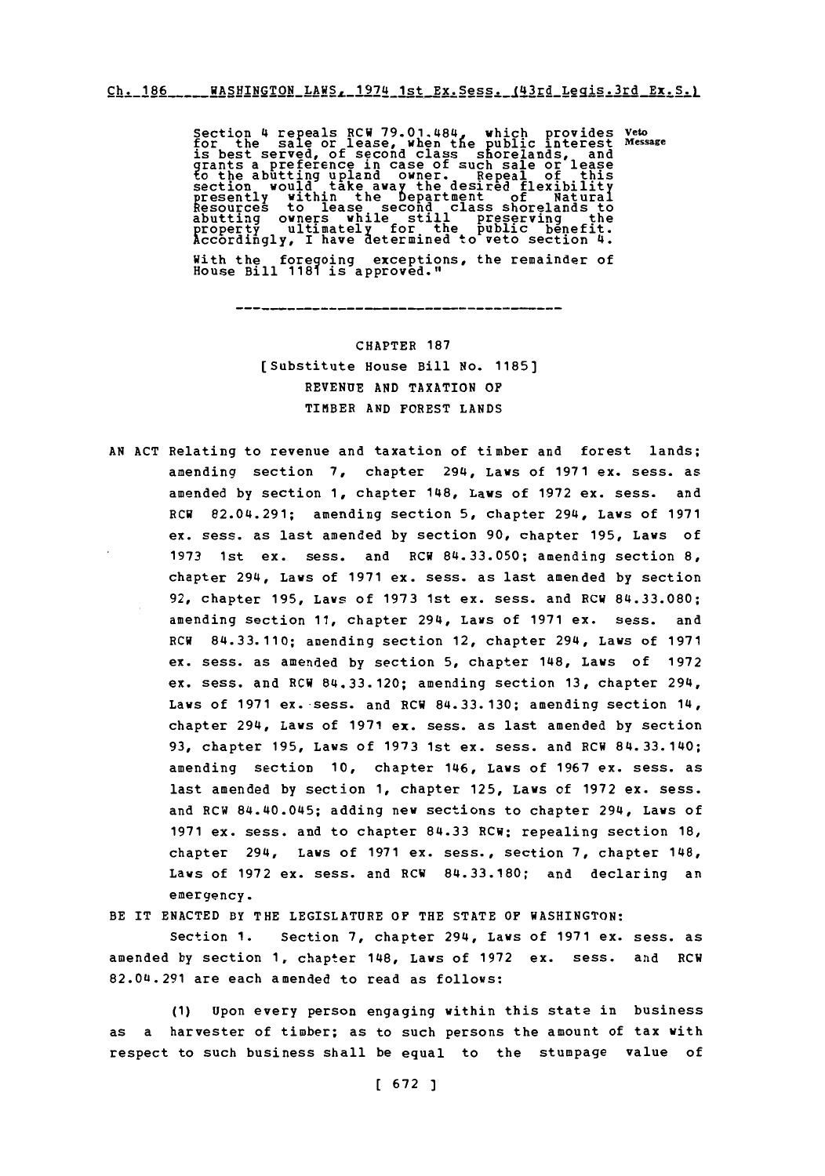$Ch. 186$ <sub>----</sub>RASHINGTON LAWS, 1974 1st Ex. Sess. (43rd Legis.3rd Ex. S.)

Section 4 repeals RCW 79.01.484, which provides veto<br>for the sale or lease, when the public interest messar<br>is best served, of second class shorelands, and<br>grants a preference in case of such sale or lease<br>to the abutting With the foregoing exceptions, the remainder of House Bill **1181** isg aproved."

> CHAPTER **187** [Substitute House Bill No. **1185] REVENUE AND** TAXATION OF TIMIBER **AND** FOREST **LANDS**

**AN ACT** Relating to revenue and taxation of timber and forest lands; amending section **7,** chapter 294, Laws of **1971** ex. sess. as amended **by** section **1,** chapter 148, Laws of **1972** ex. sess. and RCW 82.04.291; amending section **5,** chapter 294, Laws of **1971** ex. sess. as last amended **by** section **90,** chapter **195,** Laws of **1973** 1st ex. sess. and RCW 84.33.050; amending section **8,** chapter 294, Laws of **1971** ex. sess. as last amended **by** section **92,** chapter **195,** Laws of **1973** 1st ex. sess. and RCW **84.33.080;** amending section **11,** chapter 294, Laws of **1971** ex. sess. and RCW **84.33.110;** amending section 12, chapter 294, Laws of **1971** ex. sess. as amended **by** section **5,** chapter 148, Laws of **1972** ex. sess. and RCW 84.33.120; amending section **13,** chapter 294, Laws of **1971** ex. sess. and RCW **84.33. 130;** amending section 14, chapter 294, Laws of **1971** ex. sess. as last amended **by** section **93,** chapter **195,** Laws of **1973** 1st ex. sess. and RCW 84. 33.140; amending section **10,** chapter 146, Laws of **1967** ex. sess. as last amended **by** section **1,** chapter **125,** Laws of **1972** ex. sess. and RCW 84.40.045; adding new sections to chapter 294, Laws of **1971** ex. sess. and to chapter **84.33** RCW; repealing section **18,** chapter 294, Laws of **1971** ex. sess., section **7,** chapter 148, Laws of **1972** ex. sess. and RCW **84.33.180;** and declaring an emergency.

BE IT **ENACTED** BY THE **LEGISLATURE** OF THE **STATE OF** WASHINGTON:

Section **1.** Section **7,** chapter 294, Laws of **1971** ex. sess. as amended **by** section **1,** chapter 148, Laws of **1972** ex. sess. and RCW **82.0(1.291** are each amended to read as follows:

**(1)** upon every person engaging within this state in business as a harvester of timber; as to such persons the amount of tax with respect to such business shall be equal to the stumpage value of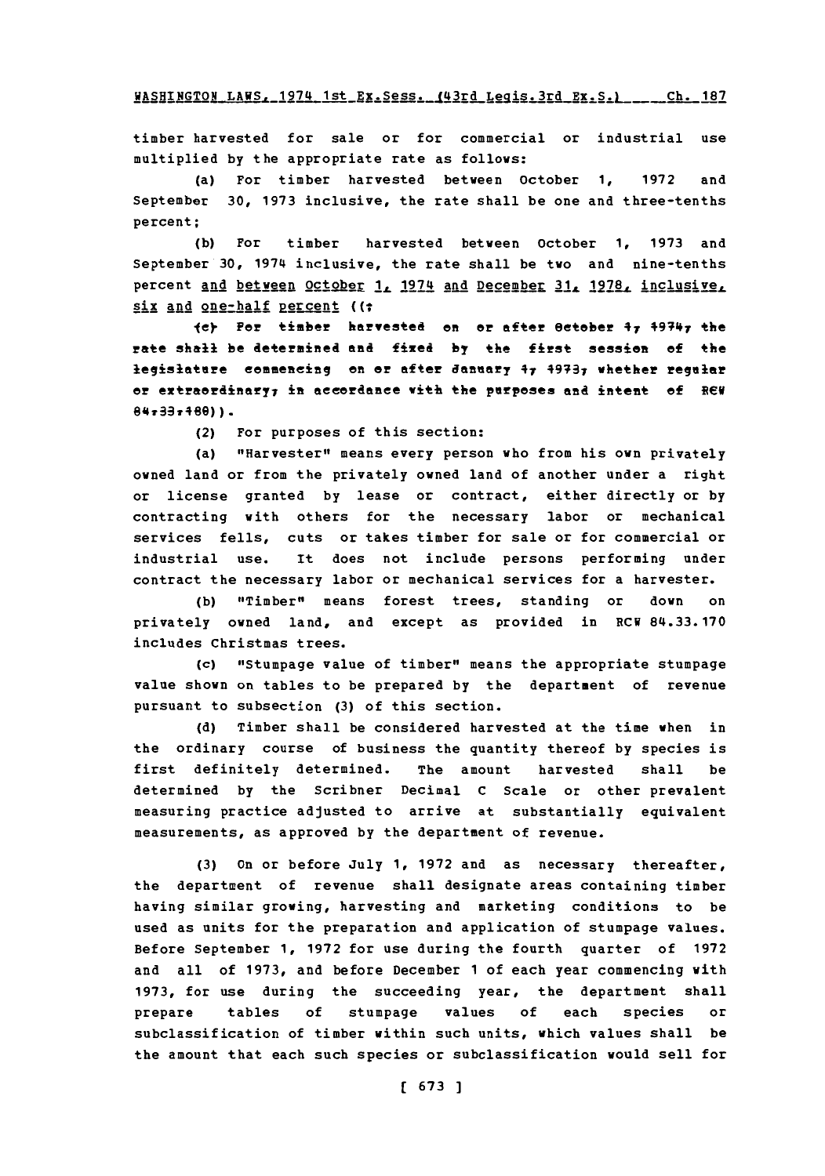timber harvested for sale or for commercial or industrial use multiplied **by** the appropriate rate as follows:

(a) For timber harvested between October **1, 1972** and September **30, 1973** inclusive, the rate shall be one and three-tenths percent;

**(b)** For timber harvested between October **1, 1973** and September **30,** 1974 inclusive, the rate shall be two and nine-tenths percent and between October **<sup>1</sup> ,** 1974 and December **3 1 . 1978.** inclusi ve.L six and one-half percent ((;

ley For timber harvested on or after October 47 +9?41 the rate shalli be determined **and** fixed **by** the first session **of** the legislature commencing on or after danuary 47 4973<sub>7</sub> whether regular or extraordinary<sub>7</sub> in accordance with the purposes and intent of RCW  $84 - 33 - 480$ ) ).

(2) For purposes of this section:

(a) "Harvester" means every person who from his own privately owned land or from the privately owned land of another under a right or license granted **by** lease or contract, either directly or **by** contracting with others for the necessary labor or mechanical services fells, cuts or takes timber for sale or for commercial or industrial use. It does not include persons performing under contract the necessary labor or mechanical services for a harvester.

**(b)** "Timber" means forest trees, standing or down on privately owned land, and except as provided in RCW **84.33. 170** includes Christmas trees.

(c) "Stumpage value of timber" means the appropriate stumpage value shown on tables to be prepared **by** the department of revenue pursuant to subsection **(3)** of this section.

**(d)** Timber shall be considered harvested at the time when in the ordinary course of business the quantity thereof **by** species is first definitely determined. The amount harvested shall be determined **by** the Scribner Decimal **C** Scale or other prevalent measuring practice adjusted to arrive at substantially equivalent measurements, as approved **by** the department of revenue.

**(3)** On or before **July 1, 1972** and as necessary thereafter, the department of revenue shall designate areas containing timber having similar growing, harvesting and marketing conditions to be used as units for the preparation and application of stumpage values. Before September **1, 1972** for use during the fourth quarter of **1972** and all of **1973,** and before December **1** of each year commencing with **1973,** for use during the succeeding year, the department shall prepare tables **of** stumpage values **of** each species or subclassification of timber within such units, which values shall be the amount that each such species or subclassification would sell for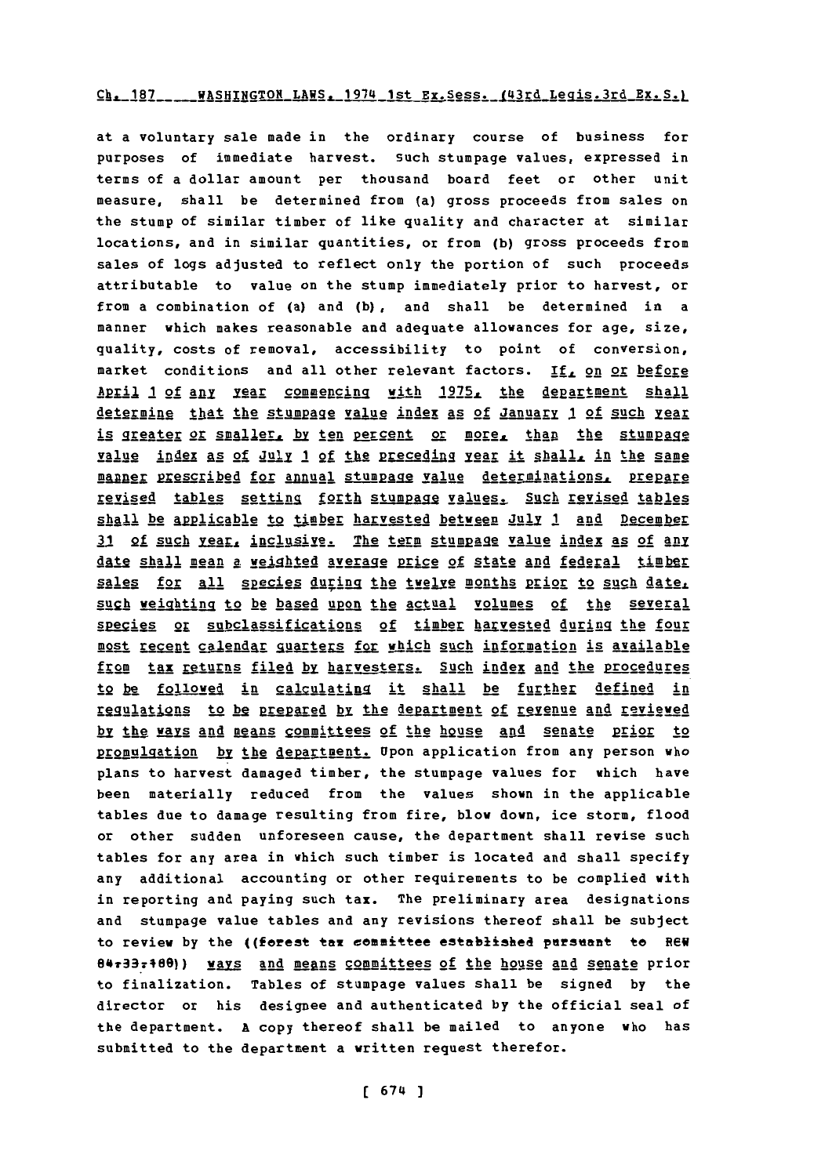### $Ch. 187$  WASHINGTON LAWS, 1974 1st Ex.Sess. (43rd Legis.3rd Ex.S.)

at a voluntary sale made in the ordinary course of business for purposes of immediate harvest. Such stumpage values, expressed in terms of a dollar amount per thousand board feet or other unit measure, shall be determined from (a) gross proceeds from sales on the stump of similar timber of like quality and character at similar locations, and in similar quantities, or from **(b)** gross proceeds from sales of logs adjusted to reflect only the portion of such proceeds attributable to value on the stump immediately prior to harvest, or from a combination of (a) and **(b),** and shall be determined in a manner which makes reasonable and adequate allowances for age, size, quality, costs of removal, accessibility to point of conversion, market conditions and all other relevant factors. If, on or before April 1 of any year commencing with 1975, the department shall Aegming that the stumpage value index as of Januarv **1** of such **gg** is greater or smaller, by ten percent or more, than the stumpage Ialue index **A§** of J2l1 **1 of** the 2r eceding lear it **shall** in the same manner prescribed for annual stumpage value determinations, prepare revised tables setting forth stumpage values. Such revised tables **shall** be A2p1icable to timber harvested between Jul1 **I and** December 31 of such year, inclusive. The term stumpage value index as of any date shall mean a weighted average price of state and federal timber sales for all species during the twelve months prior to such date, **uggh** weighting to be based upon the actual volumes of the several species or subclassifications of timber harvested during the four most recent calendar guarters for which such information is available from tax returns filed by harvesters. Such index and the procedures to be followed in calculating it shall be further defined in 1SSMIAtigns to h2 Parepaed b2 the department of revenue **and** reviewed by the ways and means committees of the house and senate prior to promulgation by the department. Upon application from any person who plans to harvest damaged timber, the stumpage values for which have been materially reduced from the values shown in the applicable tables due to damage resulting from fire, blow down, ice storm, flood or other sudden unforeseen cause, the department shall revise such tables for any area in which such timber is located and shall specify any additional accounting or other requirements to be complied with in reporting and paying such tax. The preliminary area designations and stumpage value tables and any revisions thereof shall be subject to review by the ((forest tax committee established pursuant to REW 94e33798e)) vays **and** megns committees of the house and senate prior to finalization. Tables of stumpage values shall be signed **by** the director or his designee and authenticated **by** the official seal of the department. **A** copy thereof shall be mailed to anyone who has submitted to the department a written request therefor.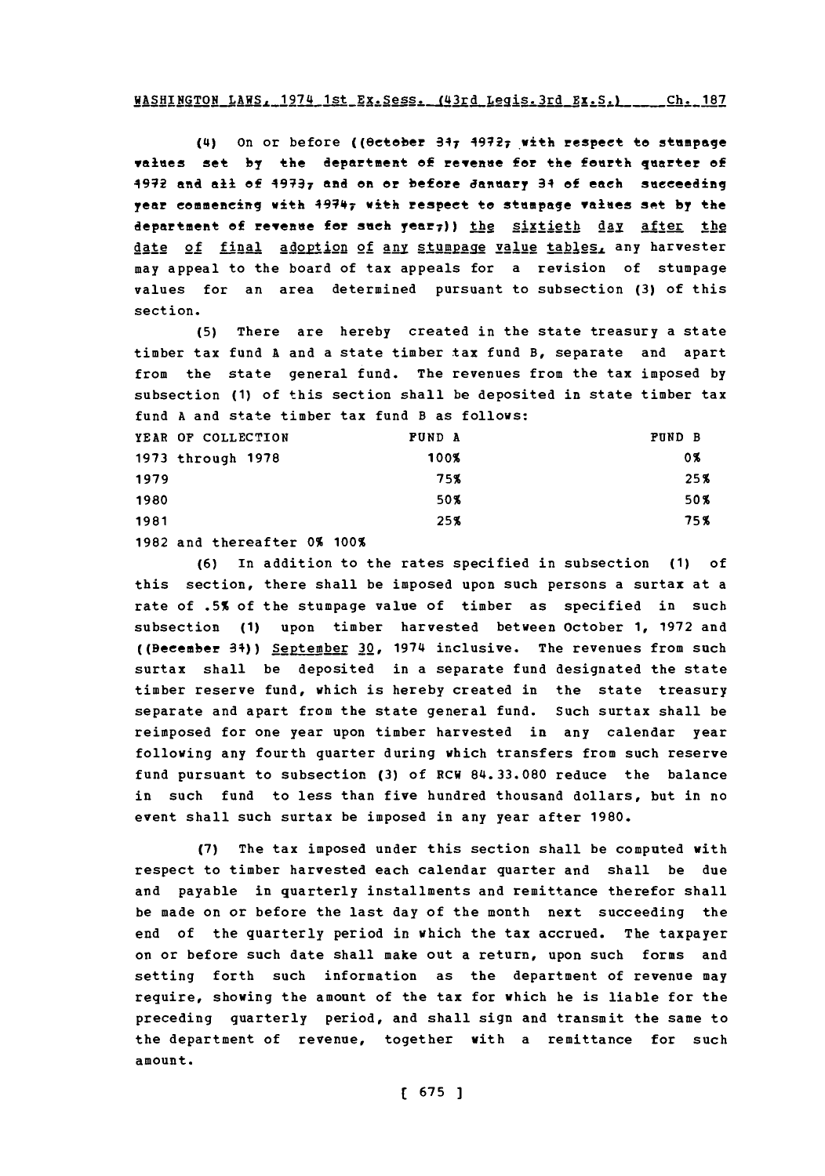**(14)** On or before ((ectober 347 4972T with respect to stumpage values set **by** the department **of** revenue for the fourth quarter **of** 49VR and **all of 49737** and on or before January 34 **of** each succeeding year commencing with 49747 with respect to stumpage values apt **by** the department of revenue for such year;)) the sixtieth day after the date of final adoption of any stumpage value tables, any harvester may appeal to the board of tax appeals for a revision of stumpage values for an area determined pursuant to subsection **(3)** of this section.

**(5)** There are hereby created in the state treasury a state timber tax fund **A** and a state timber tax fund B, separate and apart from the state general fund. The revenues from the tax imposed **by** subsection **(1)** of this section shall be deposited in state timber tax fund **A** and state timber tax fund B as follows:

|      | YEAR OF COLLECTION | <b>FUND A</b> | <b>PUND B</b> |
|------|--------------------|---------------|---------------|
|      | 1973 through 1978  | 100%          | 0%            |
| 1979 |                    | 75%           | 25%           |
| 1980 |                    | 50%           | 50%           |
| 1981 |                    | 25%           | 75%           |

**1982** and thereafter **0% 100%**

**(6)** In addition to the rates specified in subsection **(1)** of this section, there shall be imposed upon such persons a surtax at a rate of **.5%** of the stumpage value of timber as specified in such subsection **(1)** upon timber harvested between October **1, 1972** and ((Becember 34)) September 30, 1974 inclusive. The revenues from such surtax shall be deposited in a separate fund designated the state timber reserve fund, which is hereby created in the state treasury separate and apart from the state general fund. Such surtax shall be reimposed for one year upon timber harvested in any calendar year following any fourth quarter during which transfers from such reserve fund pursuant to subsection **(3)** of **ECH 84.33.080** reduce the balance in such fund to less than five hundred thousand dollars, but in no event shall such surtax be imposed in any year after **1980.**

**(7)** The tax imposed under this section shall be computed with respect to timber harvested each calendar quarter and shall be due and payable in quarterly installments and remittance therefor shall be made on or before the last day of the month next succeeding the end of the quarterly period in which the tax accrued. The taxpayer on or before such date shall make out a return, upon such forms and setting forth such information as the department of revenue may require, showing the amount of the tax for which he is liable for the preceding quarterly period, and shall sign and transmit the same to the department of revenue, together with a remittance for such amount.

**[ 675 ]**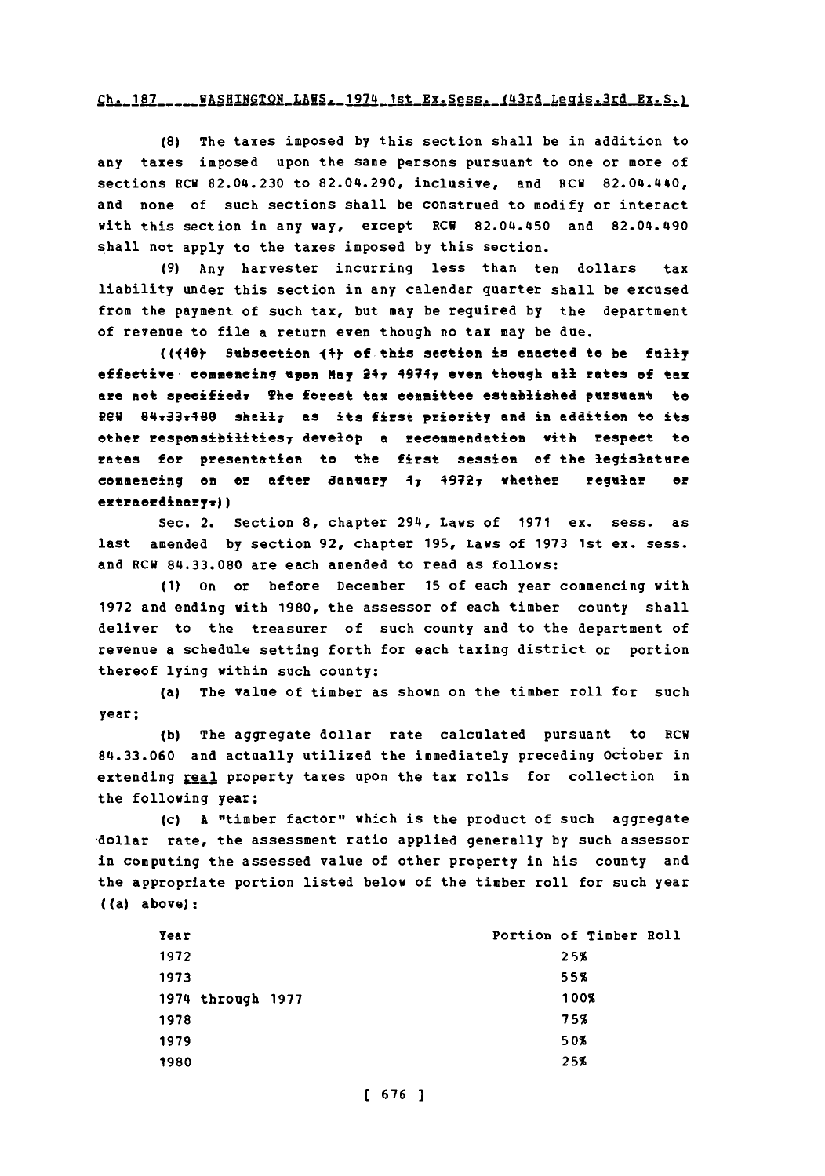#### $Ch. 187$  \_\_\_\_\_ WASHINGTON\_LAWS<sub>4</sub>\_1974\_1st\_Ex. Sess. (43rd\_Legis.3rd Ex. S.)

**(8)** The taxes imposed **by** this section shall be in addition to any taxes imposed upon the same persons pursuant to one or more of sections ECU 82.04.230 to 82.04.290, inclusive, and ECU 82.04.440, and none of such sections shall be construed to modify or interact with this section in any way, except RCW 82.04.450 and 82.04.490 shall not apply to the taxes imposed **by** this section.

**(9)** Any harvester incurring less than ten dollars tax liability under this section in any calendar quarter shall be excused from the payment of such tax, but may be required **by** the department of revenue to file a return even though no tax may be due.

((14e) Subsection **14y** of this section is enacted to be **fally** effective, commencing **upon May** 247 49747 even though **all** rates **of** tax are net *speeifiedw* The ferest tax committee established pursuant to ReV 84v33v46e shaII7 **as** its first priority and in addition to its other respeasibilitie97 devcep **a** recommendation with respect to rates for presentation te the *first* session **of** the legislature commencing on or after danuary  $4$ <sub>7</sub>  $4972$ <sub>7</sub> whether regular or extraerdinaryv))

Sec. 2. Section **8,** chapter 294, Laws of **1971** ex. sess. as last amended **by** section **92,** chapter **195,** Laws of **1973** 1st ex. sess. and ECU **84.33.080** are each amended to read as follows:

**(1)** on or before December **15** of each year commencing with **1972** and ending with **1980,** the assessor of each timber county shall deliver to the treasurer of such county and to the department of revenue a schedule setting forth for each taxing district or portion thereof lying within such county:

(a) The value of timber as shown on the timber roll for such year;

(b) The aggregate dollar rate calculated pursuant to RCW **84.33.060** and actually utilized the immediately preceding October in extending real property taxes upon the tax rolls for collection in the following year:

(c) **A** "timber factor" which is the product of such aggregate -dollar rate, the assessment ratio applied generally **by** such assessor in computing the assessed value of other property in his county and the appropriate portion listed below of the timber roll for such year ((a) above):

| Year              | Portion of Timber Roll |      |  |
|-------------------|------------------------|------|--|
| 1972              |                        | 25%  |  |
| 1973              |                        | 55%  |  |
| 1974 through 1977 |                        | 100% |  |
| 1978              |                        | 75%  |  |
| 1979              |                        | 50%  |  |
| 1980              |                        | 25%  |  |
|                   |                        |      |  |

**( 676** ]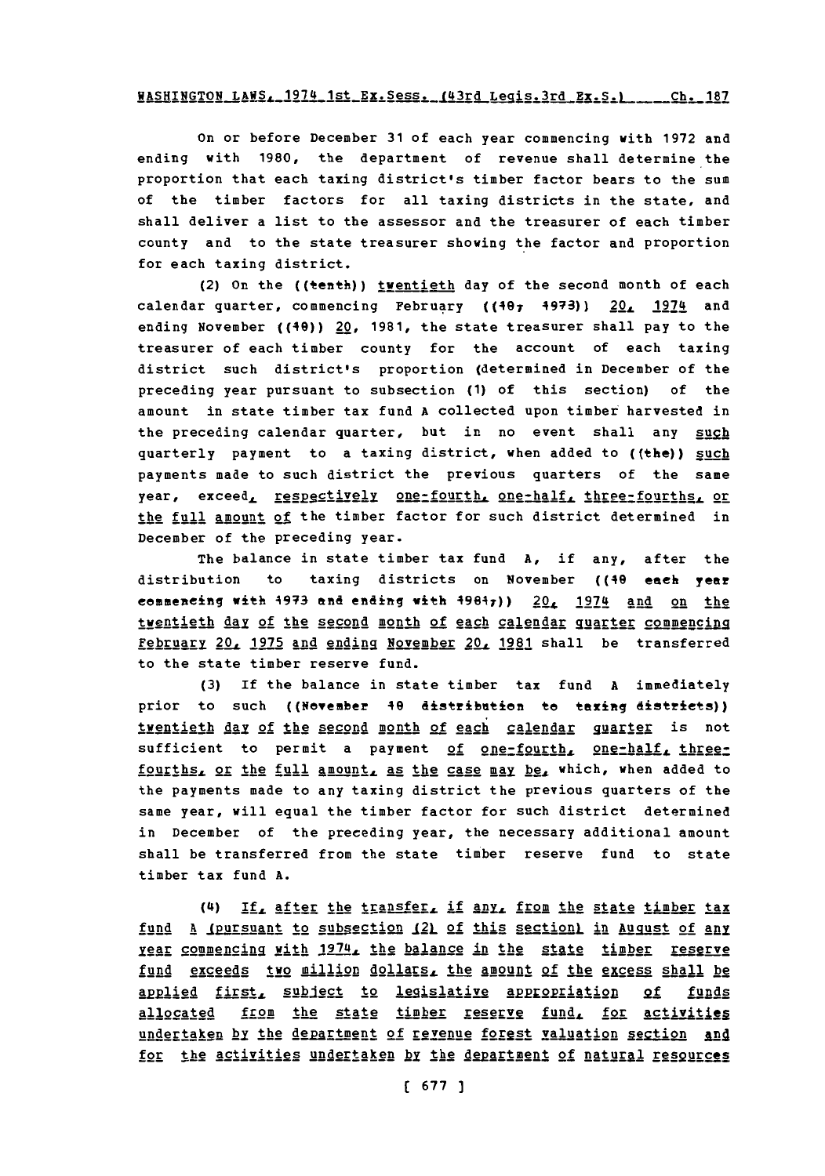# WASHINGTON LAWS, 1974 1st Ex. Sess. (43rd Legis. 3rd Ex. S.) ... Ch. 187

On or before December **31** of each year commencing with **1972** and ending with **1980,** the department of revenue shall determine the proportion that each taxing district's timber factor bears to the sum of the timber factors for all taxing districts in the state, and shall deliver a list to the assessor and the treasurer of each timber county and to the state treasurer showing the factor and proportion for each taxing district.

(2) On the ((tenth)) iventieth day of the second month of each calendar quarter, commencing February ((407 4973)) 20, 1974 and ending November ((40)) 20, **1981,** the state treasurer shall pay to the treasurer of each timber county for the account of each taxing district such district's proportion (determined in December of the preceding year pursuant to subsection **(1)** of this section) of the amount in state timber tax fund **A** collected upon timber harvested in the preceding calendar quarter, but in no event shall any such quarterly payment to a taxing district, when added to ((the)) such payments made to such district the previous quarters of the same year, exceed, respectively one-fourth, one-half, three-fourths, or the full amount of the timber factor for such district determined in December of the preceding year.

The balance in state timber tax fund **A,** if any, after the distribution to taxing districts on November ((49 each year commencing with 4973 and ending with  $49847$ ))  $20<sub>4</sub>$  1974 and on the twentieth day of the second month of each calendar quarter commencing February 20, 1975 and ending November 20, 1981 shall be transferred to the state timber reserve fund.

**(3)** If the balance in state timber tax fund **A** immediately prior to such ((Nevember 40 distribution te taxing districts)) twentieth day of the second month of each calendar guarter is not sufficient to permit a payment of one-fourth, one-half, threefourths, or the full amount, as the case may be, which, when added to the payments made to any taxing district the previous quarters of the same year, will equal the timber factor for such district determined in December of the preceding year, the necessary additional amount shall be transferred from the state timber reserve fund to state timber tax fund **A.**

(4I) **IfL** After the transfer, if **any,** froml the **21At** e tLjmber tax fund A <u>(pursuant to subsection (2)</u> of this section) in August of any rear commencing with 1974, the balance in the state timber reserve fund exceeds two million dollars, the amount of the excess shall be applied first, subject to legislative appropriation of funds allocated from the state timber reserve fund, for activities undertaken by the department of revenue forest valuation section and for the activities undertaken by the department of natural resources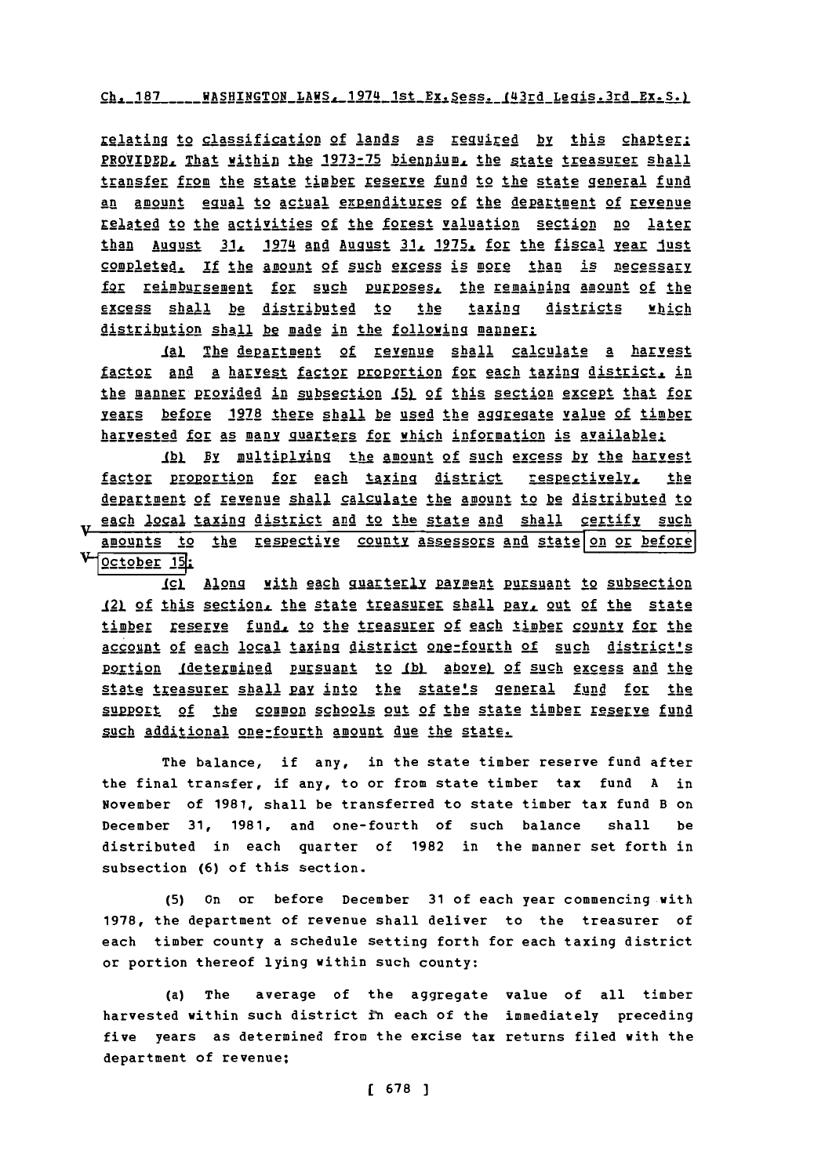Ch. 187 \_\_\_\_ WASHINGTON\_LAWS. 1974\_1st\_Ex. Sess. (43rd\_Legis.3rd\_Ex. S.)

relating to classification of lands as required by this chapter: PROVIDED, That within the 1973-75 biennium, the state treasurer shall transfer from the state timber reserve fund to the state general fund an amount equal to actual expenditures of the department of revenue related to the activities of the forest valuation section no later than August 31, 1974 and August 31, 1975, for the fiscal year 1ust completed. If the amount of such excess is more than is necessary for reimbursement for such purposes, the remaining amount of the which excess shall be distributed to  $the$ taxing districts distribution shall be made in the following manner:

ial The department of revenue shall calculate a harvest factor and a harvest factor proportion for each taxing district, in the manner provided in subsection 15) of this section except that for years before 1978 there shall be used the aggregate yalue of timber harvested for as many quarters for which information is available:

(b) By multiplying the amount of such excess by the harvest factor proportion for each taxing district respectively, the department of revenue shall calculate the amount to be distributed to w each local taxing district and to the state and shall certify such amounts to the respective county assessors and state on or before October 15:

(c) Along with each quarterly payment pursuant to subsection 121 of this section, the state treasurer shall pay, out of the state timber reserve fund, to the treasurer of each timber county for the account of each local taxing district one-fourth of such district's portion (determined pursuant to (b) above) of such excess and the state treasurer shall pay into the state's general fund for the support of the common schools out of the state timber reserve fund such additional one-fourth amount due the state.

The balance, if any, in the state timber reserve fund after the final transfer, if any, to or from state timber tax fund A in November of 1981, shall be transferred to state timber tax fund B on December 31, 1981, and one-fourth of such balance shall be distributed in each quarter of 1982 in the manner set forth in subsection (6) of this section.

(5) On or before December 31 of each year commencing with 1978, the department of revenue shall deliver to the treasurer of each timber county a schedule setting forth for each taxing district or portion thereof lying within such county:

(a) The average of the aggregate value of all timber harvested within such district in each of the immediately preceding five years as determined from the excise tax returns filed with the department of revenue;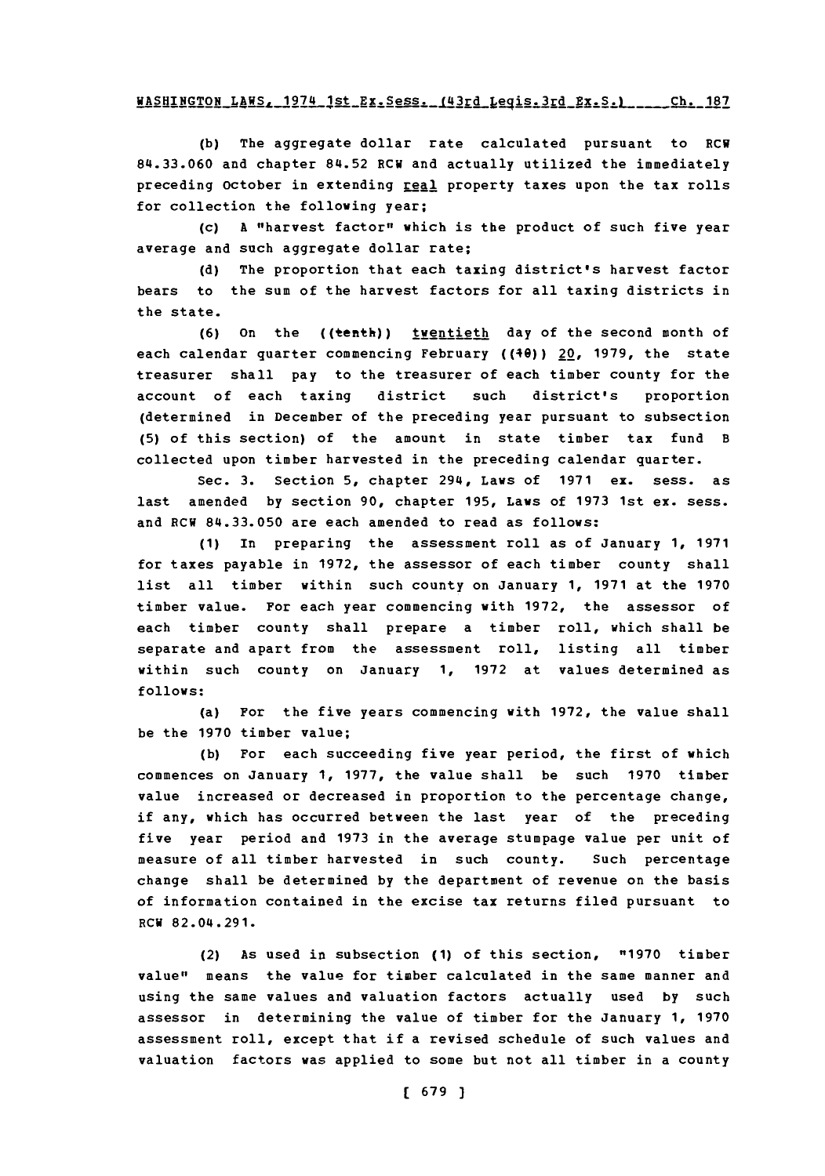#### WASHINGTON LAWS, 1974 1st Ex. Sess. (43rd Legis. 3rd **Ex. S.)** .... Ch. 187

**(b)** The aggregate dollar rate calculated pursuant to RCW 84.33.060 and chapter 84.52 RCW and actually utilized the immediately preceding October in extending real property taxes upon the tax rolls for collection the following year;

(c) **A** "harvest factor" which is the product of such five year average and such aggregate dollar rate;

**(d)** The proportion that each taxing district's harvest factor bears to the sum of the harvest factors for all taxing districts in the state.

**(6)** On the ((tenth)) twentieth day of the second month of each calendar quarter commencing February ((40)) 22, **1979,** the state treasurer shall pay to the treasurer of each timber county for the account of each taxing district such district's proportion (determined in December of the preceding year pursuant to subsection **(5)** of this section) of the amount in state timber tax fund B collected upon timber harvested in the preceding calendar quarter.

Sec. **3.** Section **5,** chapter 294, Laws of **1971** ex. sess. as last amended **by** section **90,** chapter **195,** Laws of **1973** 1st ex. sess. and RCW **84.33.050** are each amended to read as follows:

**(1)** In preparing the assessment roll as of January **1, 1971** for taxes payable in **1972,** the assessor of each timber county shall list all timber within such county on January **1, 1971** at the **1970** timber value. For each year commencing with **1972,** the assessor of each timber county shall prepare a timber roll, which shall be separate and apart from the assessment roll, listing all timber within such county on January **1, 1972** at values determined as **follows:**

(a) For the five years commencing with **1972,** the value shall be the **1970** timber value;

**(b)** For each succeeding five year period, the first of which commences on January **1, 1977,** the value shall be such **1970** timber value increased or decreased in proportion to the percentage change, if any, which has occurred between the last year of the preceding five year period and **1973** in the average stumpage value per unit of measure of all timber harvested in such county. Such percentage change shall be determined **by** the department of revenue on the basis of information contained in the excise tax returns filed pursuant to RCW 82.04.291.

(2) As used in subsection **(1)** of this section, **"1970** timber value" means the value for timber calculated in the same manner and using the same values and valuation factors actually used **by** such assessor in determining the value of timber for the January **1, 1970** assessment roll, except that if a revised schedule of such values and valuation factors was applied to some but not all timber in a county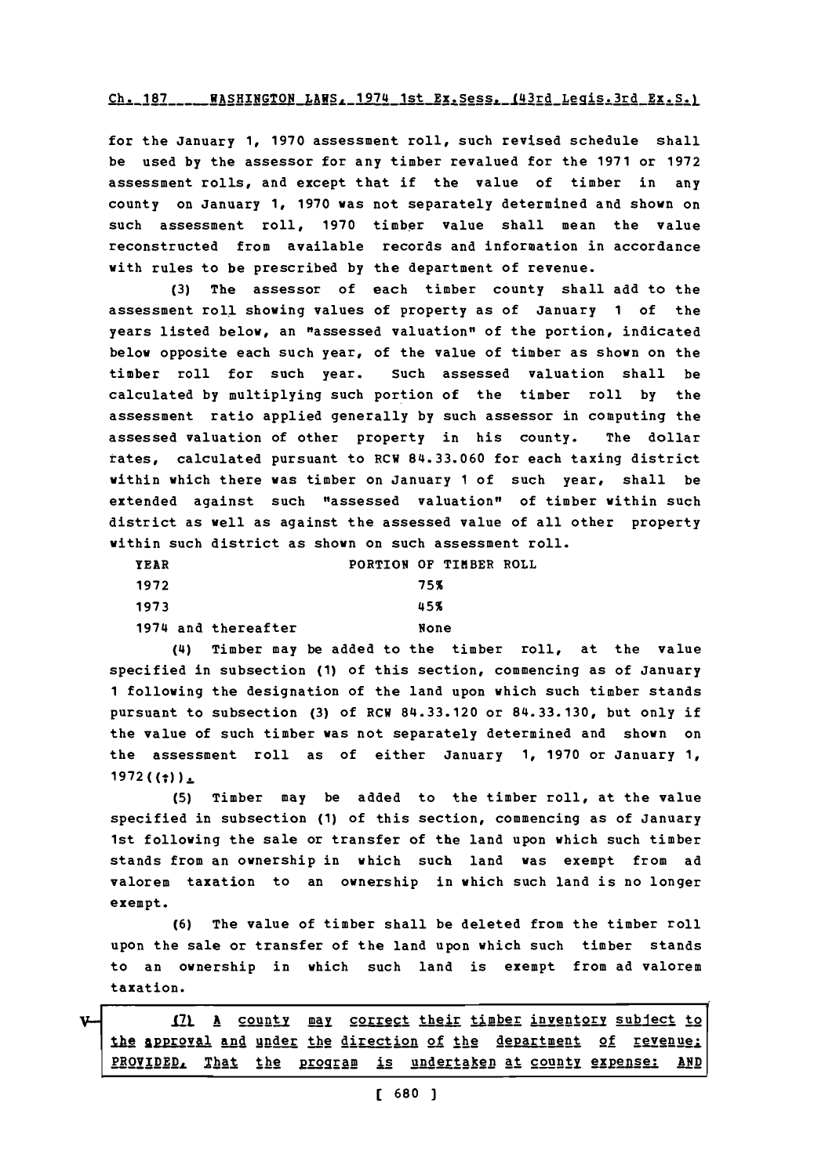#### Ch. 187 ... WASHINGTON LAWS, 1974 1st Ex. Sess. 143rd Legis.3rd Ex. S.)

for the January **1, 1970** assessment roll, such revised schedule shall be used **by** the assessor for any timber revalued for the **1971** or **1972** assessment rolls, and except that if the value of timber in any county on January **1, 1970** was not separately determined and shown on such assessment roll, **1970** timber value shall mean the value reconstructed from available records and information in accordance with rules to be prescribed **by** the department of revenue.

**(3)** The assessor of each timber county shall add to the assessment roll showing values of property as of January **1** of the years listed below, an "assessed valuation" of the portion, indicated below opposite each such year, of the value of timber as shown on the timber roll for such year. Such assessed valuation shall be calculated **by** multiplying such portion of the timber roll **by** the assessment ratio applied generally **by** such assessor in computing the assessed valuation of other property in his county. The dollar rates, calculated pursuant to RCW 84.33.060 for each taxing district within which there was timber on January **1** of such year, shall be extended against such "assessed valuation" of timber within such district as well as against the assessed value of all other property within such district as shown on such assessment roll.

| YEAR                | PORTION OF TIMBER ROLL |      |  |
|---------------------|------------------------|------|--|
| 1972                |                        | 75%  |  |
| 1973                |                        | 45%  |  |
| 1974 and thereafter |                        | None |  |

(4) Timber may be added to the timber roll, at the value specified in subsection **(1)** of this section, commencing as of January **1** following the designation of the land upon which such timber stands pursuant to subsection **(3)** of RCW **84.33.120** or **84.33.130,** but only if the value of such timber was not separately determined and shown on the assessment roll as of either January **1, 1970** or January **1,**  $1972 ((:))_{\pm}$ 

**(5)** Timber may be added to the timber roll, at the value specified in subsection **(1)** of this section, commencing as of January 1st following the sale or transfer of the land upon which such timber stands from an ownership in which such land was exempt from ad valorem taxation to an ownership in which such land is no longer exempt.

**(6)** The value of timber shall be deleted from the timber roll upon the sale or transfer of the land upon which such timber stands to an ownership in which such land is exempt from ad valorem taxation.

**I71 A county may correct their timber inventory subject to** the approval and under the direction of the department of revenuel **PROVIDED**, That the program is undertaken at county expense: AND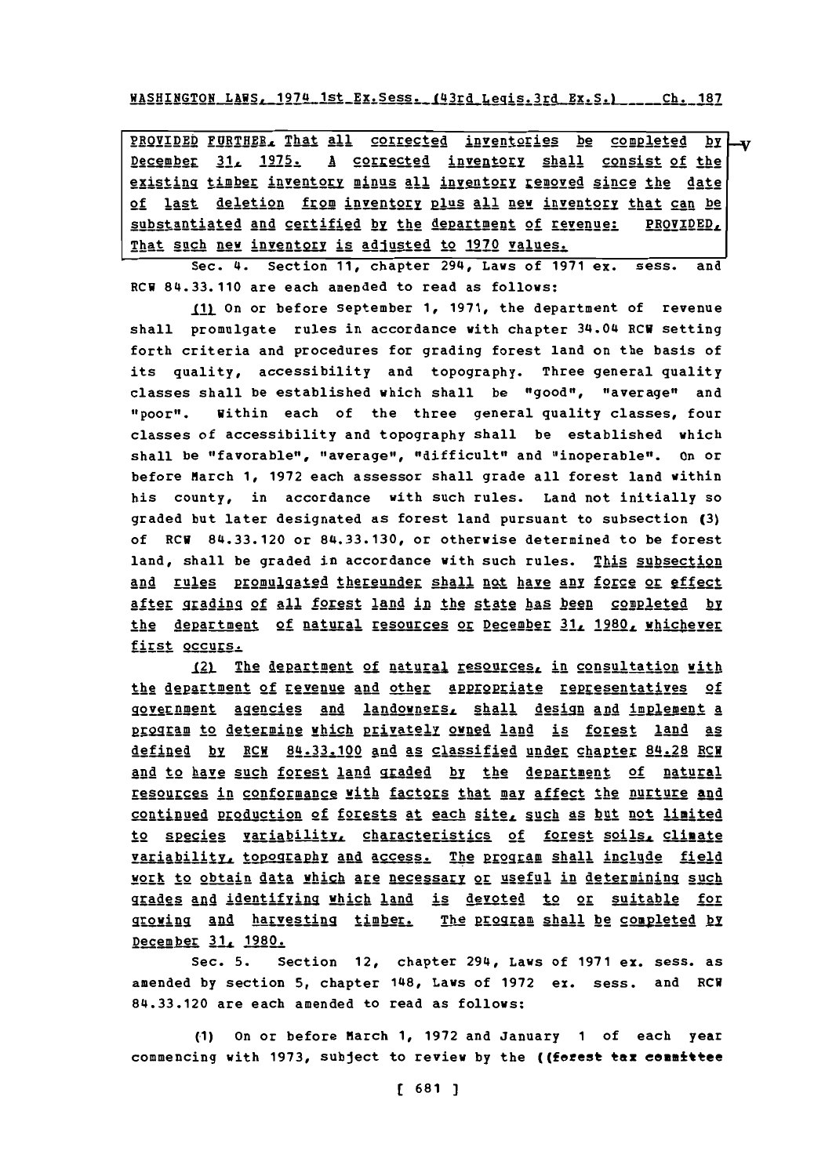WASHI!yGTON1AWSa9 174 1st EX.Sess\*\_I41rILeq is.3rd **EX.S.)** Ch18 **Ch. 187**

**92g11IE** FUR THER. That all corrected inventories be cogleted **by** December 31, 1975. A corrected inventory shall consist of the existing timber inventory mJnus **all** inventory removed since the date of last deletion from inventory plus **all** new inventory that can be substantiated and certified by the department of revenue: PROVIDED, That such new inventory is adjusted to 1970 values.

Sec. 4. Section **11,** chapter 294, Laws of **1971** ex. sess. and RCH 84.33.110 are each amended to read as follows:

**\_1** On or before September **1, 1971,** the department of revenue shall promulgate rules in accordance with chapter 34.04 RCW setting forth criteria and procedures for grading forest land on the basis of its quality, accessibility and topography. Three general quality classes shall be established which shall be "good", "average" and "poor". Within each of the three general quality classes, four classes of accessibility and topography shall be established which shall be "favorable", "average", "difficult" and "inoperable". On or before March **1, 1972** each assessor shall grade all forest land within his county, in accordance with such rules. Land not initially so graded but later designated as forest land pursuant to subsection **(3)** of RCH 84.33.120 or **84.33.130,** or otherwise determined to be forest land, shall be graded in accordance with such rules. This subsection and rules promulgated thereunder shall not have any force or effect **After grading of all forest land in the state has been completed by** the department of natural resources or December 31, 1980, whichever first occurs.

12) The department of natural resources, in consultation with the dgpartment **of** revenue and other appropriate representatives of government agencies and landowners, shall design and implement a program to determine which privately owned land is forest land as defined by RCH 84.33.100 and as classified under chapter 84.28 RCH and to have such forest land graded by the department of natural resourcgs in conformance with factors that max affect the nurture and continued production of forests at each site, such as but not limited to species variability. characteristics of forest soils, climate variability, topggaggpy **gA** access. The *RPlamrn* shall inclgde field work to obtain data which are necessary or useful in determining such grades and identifying which land is devoted to or suitable for growing and harvesting timber. The **program shall be completed by** December **31, 1980.**

Sec. **5.** Section 12, chapter 294, Laws of **1971** ex. sess. as amended **by** section **5,** chapter 148, Laws of **1972** ex. sess. and RCW **84.33.120** are each amended to read as follows:

**(1)** On or before March **1, 1972** and January **1** of each year commencing with **1973,** subject to review **by** the ((forest tax eeamittee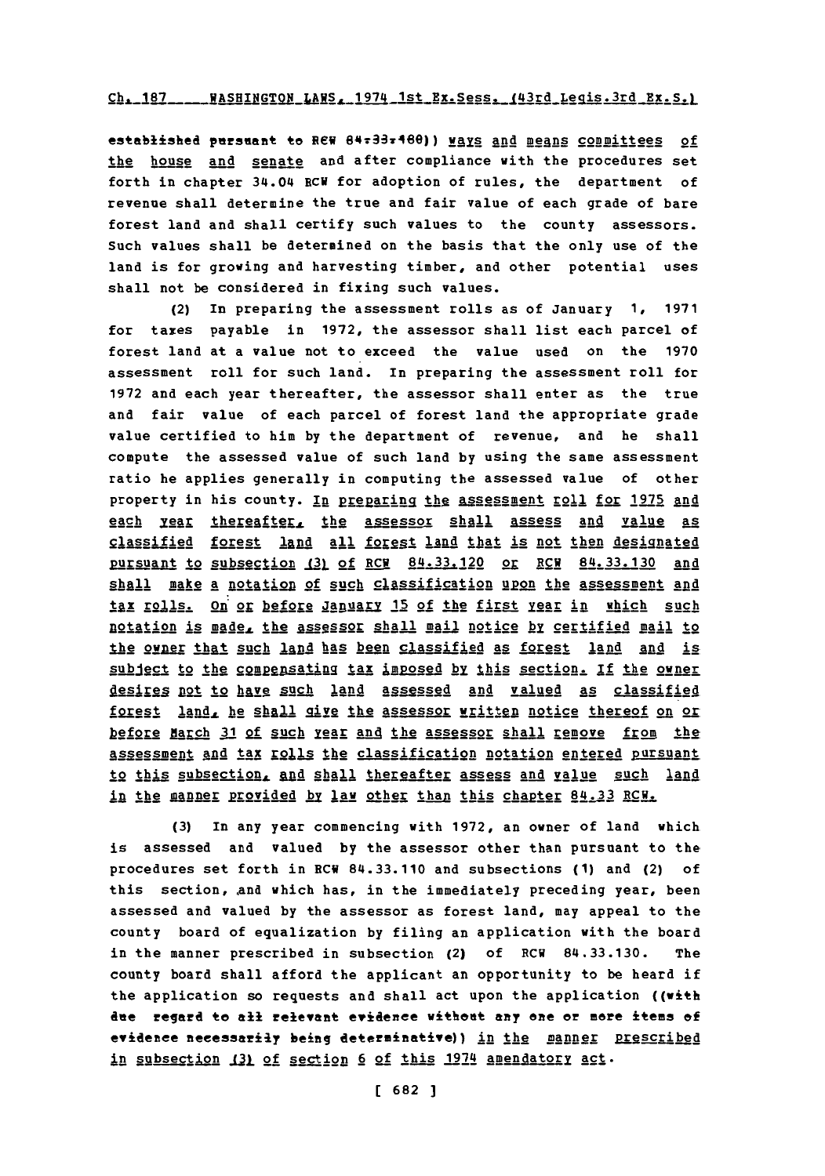#### Ch. 187 \_\_\_\_\_ WASHINGTON\_LAWS, 1974 1st Ex. Sess. (43rd Legis. 3rd Ex. S.)

established pursuant to REW 84:33:480)) ways and means committees of the house and senate and after compliance with the procedures set forth in chapter 34.04 RCW for adoption of rules, the department of revenue shall determine the true and fair value of each grade of bare forest land and shall certify such values to the county assessors. Such values shall be determined on the basis that the only use of the land is for growing and harvesting timber, and other potential uses shall not be considered in fixing such values.

 $(2)$ In preparing the assessment rolls as of January 1, 1971 for taxes payable in 1972, the assessor shall list each parcel of forest land at a value not to exceed the value used on the 1970 assessment roll for such land. In preparing the assessment roll for 1972 and each year thereafter, the assessor shall enter as the true and fair value of each parcel of forest land the appropriate grade value certified to him by the department of revenue, and he shall compute the assessed value of such land by using the same assessment ratio he applies generally in computing the assessed value of other property in his county. In preparing the assessment roll for 1975 and each year thereafter, the assessor shall assess and value as classified forest land all forest land that is not then designated pursuant to subsection (3) of RCM 84.33.120 or RCM 84.33.130 and shall make a notation of such classification upon the assessment and tax rolls. On or before January 15 of the first year in which such notation is made, the assessor shall mail notice by certified mail to the owner that such land has been classified as forest land and is subject to the compensating tax imposed by this section. If the owner desires not to have such land assessed and valued as classified forest land, he shall give the assessor written notice thereof on or before March 31 of such rear and the assessor shall remove from the assessment and tax rolls the classification notation entered pursuant to this subsection, and shall thereafter assess and value such land in the manner provided by law other than this chapter 84.33 RCH.

In any year commencing with 1972, an owner of land which  $(3)$ is assessed and valued by the assessor other than pursuant to the procedures set forth in RCW 84.33.110 and subsections (1) and (2) of this section, and which has, in the immediately preceding year, been assessed and valued by the assessor as forest land, may appeal to the county board of equalization by filing an application with the board in the manner prescribed in subsection (2) of RCW 84.33.130. The county board shall afford the applicant an opportunity to be heard if the application so requests and shall act upon the application ((with due regard to all relevant evidence without any one or more items of evidence necessarily being determinative)) in the manner prescribed in subsection (3) of section 6 of this 1974 amendatory act.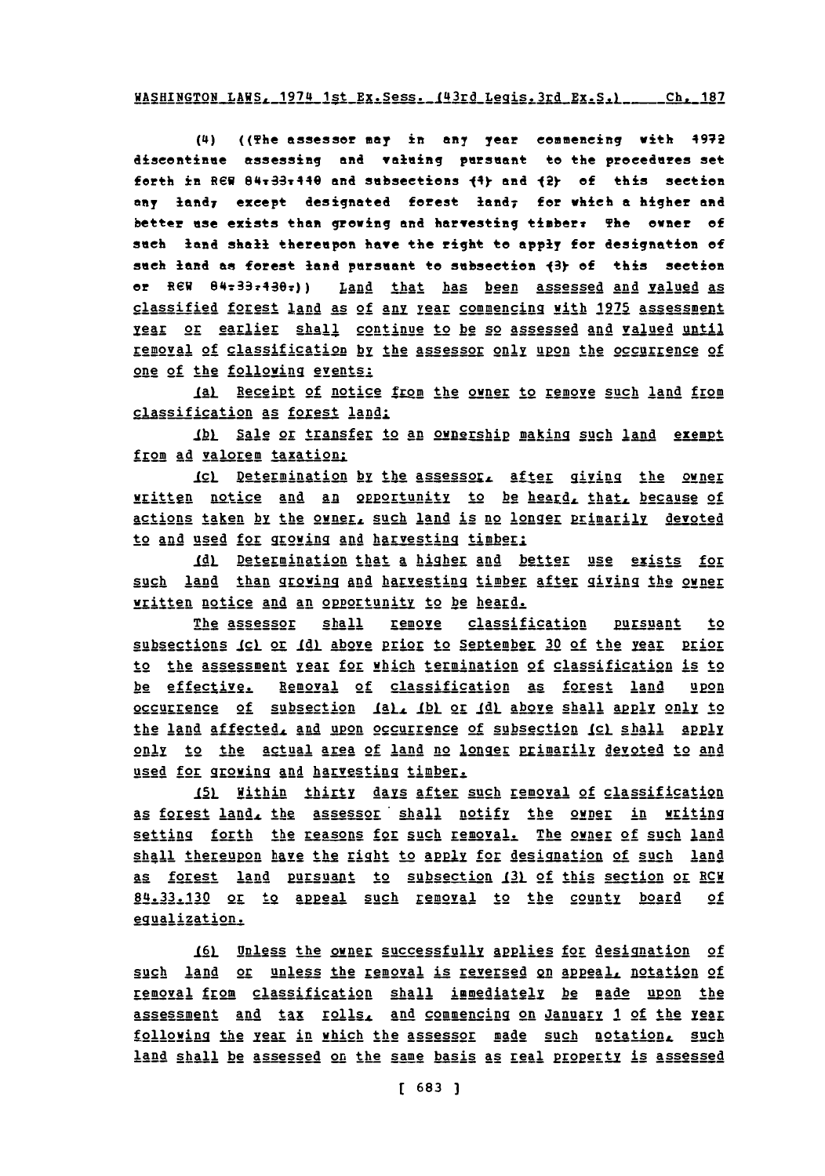## WASHINGTON LAWS. 1974 1st Ex.Sess. 143rd Legis.3rd Ex.Sa \_\_Ch. **187**

(4) ((The assesser may in any year eomeneing with 4972 diseontinue assessing and valuing pursuant to the precedures set forth in REW 84<sub>7</sub>337440 and subsections  $\{4\}$  and  $\{2\}$  of this section any landy except designated forest **land7** for which **a** higher and better use exists than growing **and** harvesting tiaber: The ener **of** sueh **land** shall thereupon have the right to apply for designation of seeh land as forest land pursuant to subsection **13 of** this section or **REW** 84:3374392)) Land that has been assessed and valued as classified forest land as of any year commencing with 1975 assessment year or earlier shall continue to be so assessed and valued until removal of classification by the assessor only upon the occurrence of one of the folloving events:

Ial Receipt of notice from the owner to remove such land from classification as forest land:

**Ibl** Sale or transfer to an ownership making such land exempt from ad valorem taxation:

ICL Determination by the assessor, after giving the owner written notice and an opportunity to be heard, that, because of actions taken by the owner, such land is no longer primarily devoted to and used for growing and harvesting timber:

**\_Ld4** Determindtion that a higher and better use exists for such land than growing and harvesting timber after giving the owner written notice and an opportunity to be heard.

The assessor shall remove classification pursuant to subsections *Icl* or *Idl above prior to September 30 of the year prior* to the assessment year **for** which termination of classification is to be effective. Removal of classification as forest land upon occurrence of subsection (a), (b) or (d) above shall apply only to the land affected, and upon occurrence of subsection (c) shall apply only to the actual area of land no longer primarily devoted to and used for growing and harvesting timber.

**151** Within thirty **days** after such removal of classificatig as forest land, the assessor shall notify the owner in writing setting forth the reasons for such removal. The owner of such land shall thereupon have the right to apply for designation of such land as forest land pursuant to subsection 131 of this section or RCH 84.33.130 or to appeal such removal to the county board of equalization.

161 Unless the owner successfully applies for designation of such land or unless the removal is reversed on appeal, notation of removal from classification shall immediately be made upon the assessment and tax rolls, and commencing on January 1 of the **year** following the year in which the assessor made such notation, such land shall be assessed on the same basis as real property is assessed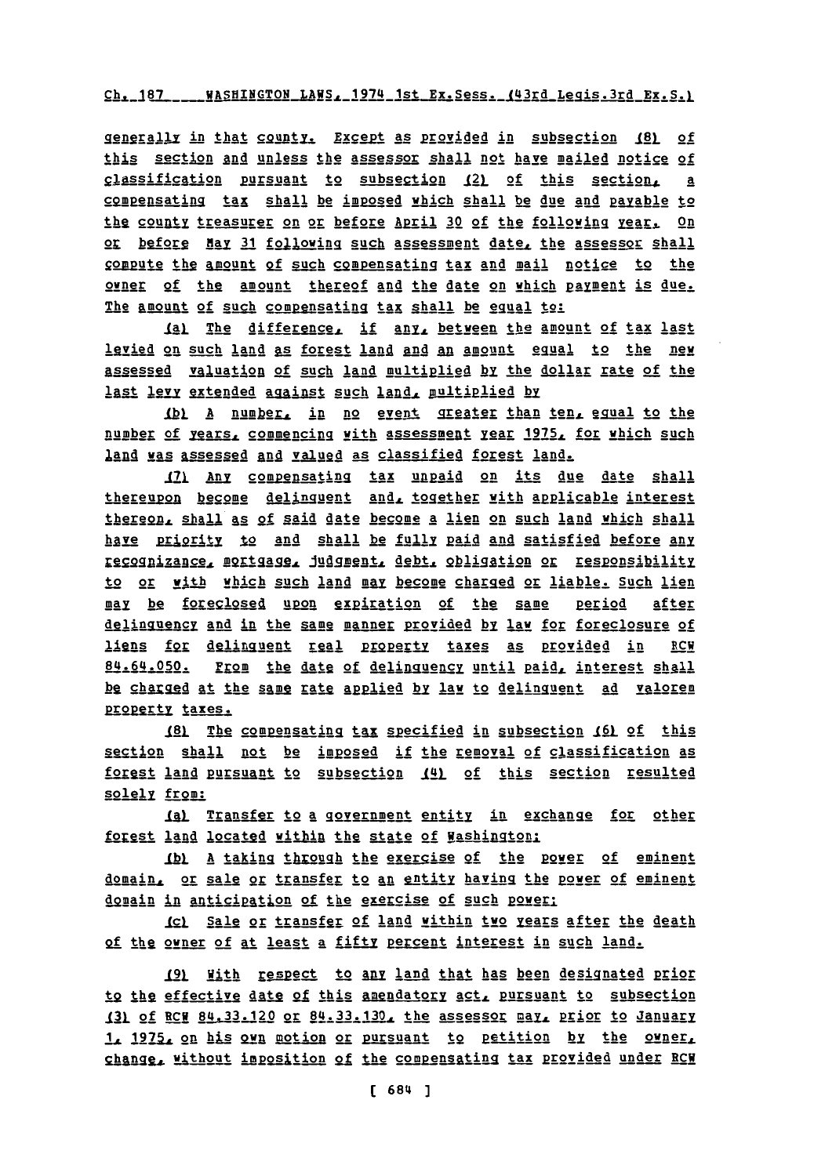## Ch. 187 \_\_\_\_ WASHINGTON LAWS, 1974 1st Ex. Sess. (43rd Legis. 3rd Ex. S.)

generally in that county. Except as provided in subsection (8) of this section and unless the assessor shall not have mailed notice of classification pursuant to subsection (2) of this section, a compensating tax shall be imposed which shall be due and payable to the county treasurer on or before April 30 of the following year. On or before May 31 following such assessment date, the assessor shall compute the amount of such compensating tax and mail notice to the owner of the amount thereof and the date on which payment is due. The amount of such compensating tax shall be equal to:

Ial The difference, if any, between the amount of tax last levied on such land as forest land and an amount equal to the new assessed valuation of such land multiplied by the dollar rate of the last levy extended against such land, multiplied by

1bl A number, in no event greater than ten, equal to the number of years, commencing with assessment year 1975, for which such land was assessed and valued as classified forest land.

171 Any compensating tax unpaid on its due date shall thereupon become delinguent and, together with applicable interest thereon, shall as of said date become a lien on such land which shall have priority to and shall be fully paid and satisfied before any recognizance, mortgage, judgment, debt, obligation or responsibility to or with which such land may become charged or liable. Such lien may be foreclosed upon expiration of the same <u>period</u> after delinguency and in the same manner provided by law for foreclosure of liens for delinguent real property taxes as provided in RCW 84.64.050. From the date of delinguency until paid, interest shall be charged at the same rate applied by law to delinguent ad valorem property taxes.

181 The compensating tax specified in subsection 161 of this section shall not be imposed if the removal of classification as forest land pursuant to subsection (4) of this section resulted solely from:

<u>(a) Transfer to a government entity in exchange for other</u> forest land located within the state of Washington:

(b) A taking through the exercise of the power of eminent domain, or sale or transfer to an entity having the power of eminent domain in anticipation of the exercise of such power:

(c) Sale or transfer of land within two years after the death of the owner of at least a fifty percent interest in such land.

19) With respect to any land that has been designated prior to the effective date of this amendatory act, pursuant to subsection 131 of BCM 84.33.120 or 84.33.130. the assessor may, prior to January 1, 1975, on his own motion or pursuant to petition by the owner, change, without imposition of the compensating tax provided under RCM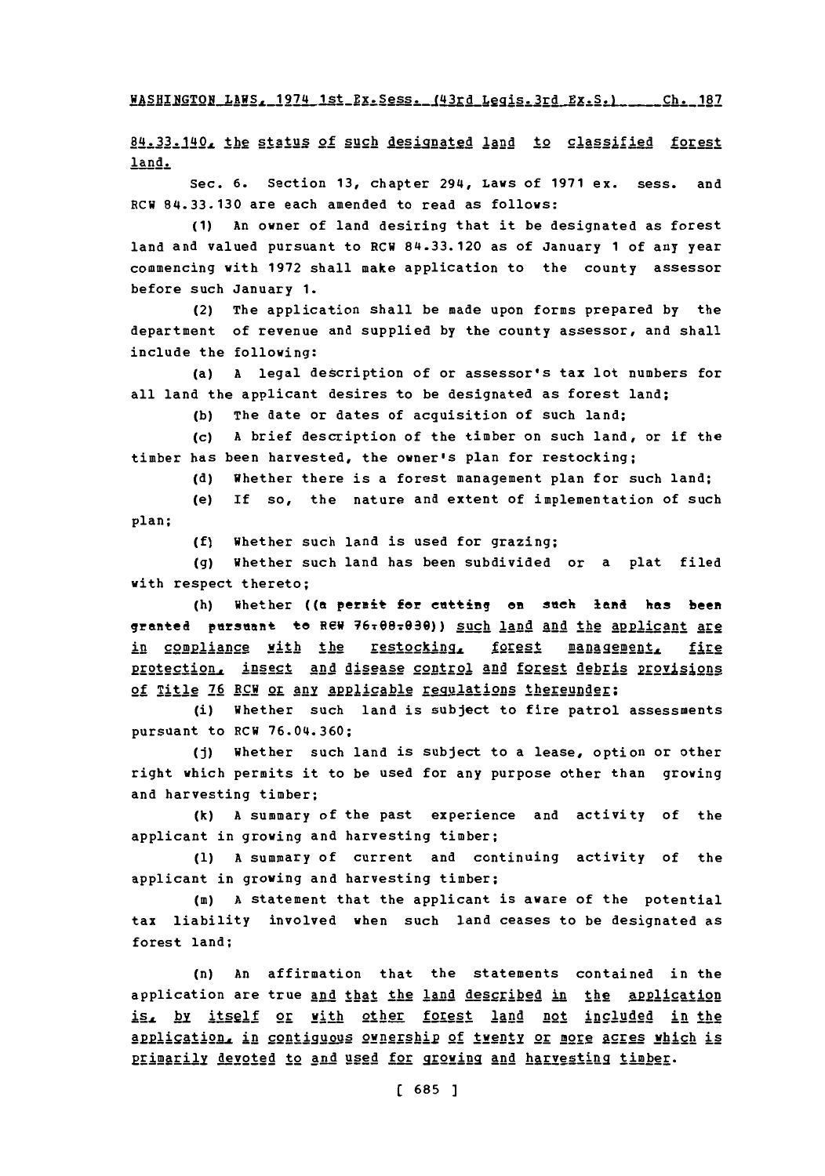**WASHINGTON LAWS, 1974 1st Ex. Sess. (43rd Legis. 3rd Ex. S.) ... Ch. 187** 

84.33.140, the status of such designated land to classified forest land.

Sec. **6.** Section **13,** chapter 294, Laws of **1971** ex. sess. and RCW **84.33.130** are each amended to read as follows:

**(1)** An owner of land desiring that it be designated as forest land and valued pursuant to RCW **84.33.120** as of January **1** of any year commencing with **1972** shall make application to the county assessor before such January **1.**

(2) The application shall be made upon forms prepared **by** the department of revenue and supplied **by** the county assessor, and shall include the following:

(a) **A** legal description of or assessor's tax lot numbers for all land the applicant desires to be designated as forest land;

**(b)** The date or dates of acquisition of such land;

**(c) A** brief description of the timber on such land, or if the timber has been harvested, the owner's plan for restocking;

**(d)** Whether there is a forest management plan for such land;

(e) If so, the nature and extent of implementation of such plan;

**(f)** Whether such land is used for grazing;

**(g)** Whether such land has been subdivided or a plat filed with respect thereto;

(h) Whether ((a permit for cutting on such land has been granted pursuant to REW 76x08x030)) such land and the applicant are in compliance with the restocking, forest management, fire protection, insect and disease control and forest debris provisions of Title **76** RCW or any Appicable regulations **thereunder;**

(i) Whether such land is subject to fire patrol assessments pursuant to RCW **76.04.360;**

**(j)** Whether such land is subject to a lease, option or other right which permits it to be used for any purpose other than growing and harvesting timber;

**(k) A** summary of the past experience and activity of the applicant in growing and harvesting timber;

**(1) <sup>A</sup>**summary of current and continuing activity of the applicant in growing and harvesting timber;

(in) **<sup>A</sup>**statement that the applicant is aware of the potential tax liability involved when such land ceases to be designated as forest land;

(n) An affirmation that the statements contained in the application are true and that the land described in the application is, by itself or with other forest land not included in the application, in contiguous ownership of twenty or more acres which is primarily devoted to and used for growing and harvesting timber.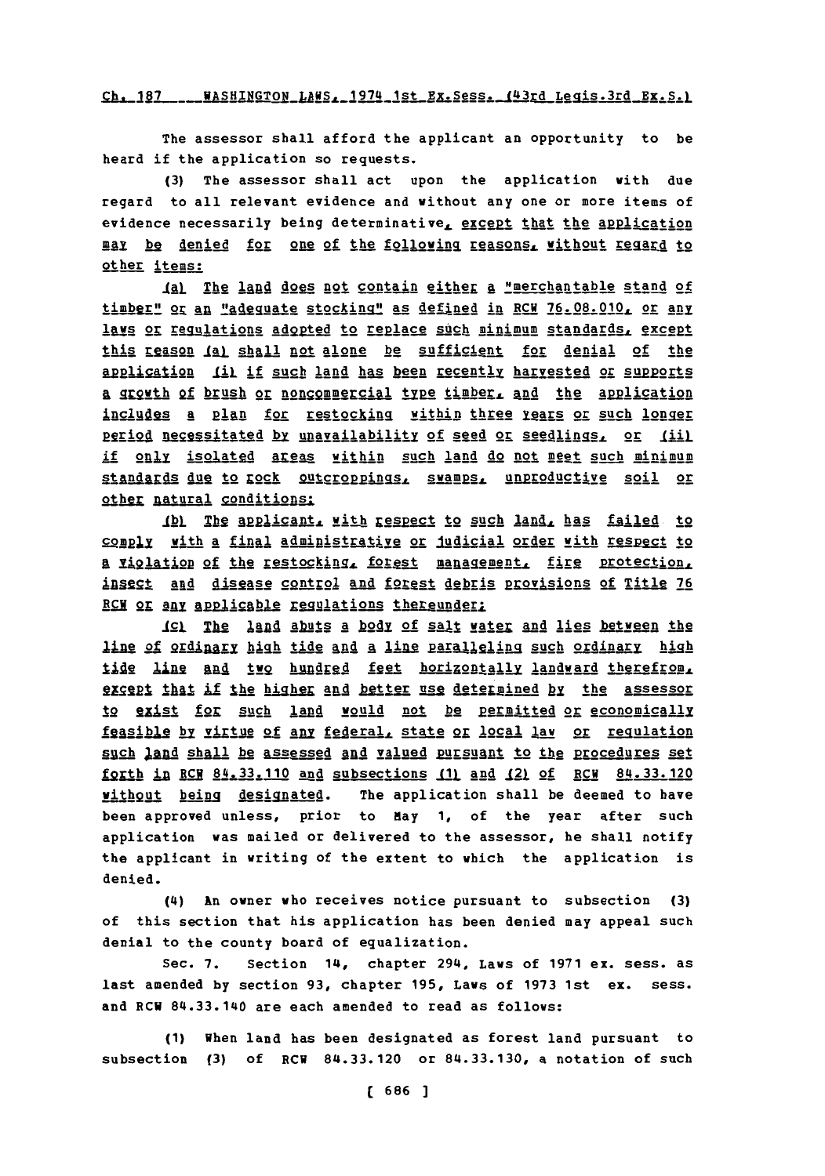## Ch. 187 \_\_\_\_ WASHINGTON\_LAWS. 1974 1st Ex. Sess. (43rd Legis. 3rd Ex. S.)

The assessor shall afford the applicant an opportunity to be heard if the application so requests.

(3) The assessor shall act upon the application with due regard to all relevant evidence and without any one or more items of evidence necessarily being determinative, except that the application may be denied for one of the following reasons, without regard to other items:

(a) The land does not contain either a "merchantable stand of timber" or an "adequate stocking" as defined in RCW 76.08.010, or any lavs or regulations adopted to replace such minimum standards, except this reason (a) shall not alone be sufficient for denial of the application (i) if such land has been recently harvested or supports a growth of brush or noncommercial type timber, and the application includes a plan for restocking within three years or such longer period necessitated by unavailability of seed or seedlings, or (ii) if only isolated areas within such land do not meet such minimum standards due to rock outcroppings, swamps, unproductive soil or other natural conditions:

(b) The applicant, with respect to such land, has failed to comply with a final administrative or judicial order with respect to a violation of the restocking, forest management, fire protection, insect and disease control and forest debris provisions of Title 76 RCW or any applicable regulations thereunder;

<u>ICl</u> The land abuts a body of salt water and lies between the line of ordinary high tide and a line paralleling such ordinary high tide line and two hundred feet horizontally landward therefrom. except that if the higher and better use determined by the assessor to exist for such land would not be permitted or economically feasible by virtue of any federal, state or local law or requiation such land shall be assessed and valued pursuant to the procedures set forth in RCW 84.33.110 and subsections (1) and (2) of RCW 84.33.120 without being designated. The application shall be deemed to have been approved unless, prior to May 1, of the year after such application was mailed or delivered to the assessor, he shall notify the applicant in writing of the extent to which the application is denied.

 $(4)$ An owner who receives notice pursuant to subsection (3) of this section that his application has been denied may appeal such denial to the county board of equalization.

Sec.  $7.$ Section 14, chapter 294, Laws of 1971 ex. sess. as last amended by section 93, chapter 195, Laws of 1973 1st ex. sess. and RCW 84.33.140 are each amended to read as follows:

(1) When land has been designated as forest land pursuant to subsection (3) of RCW 84.33.120 or 84.33.130, a notation of such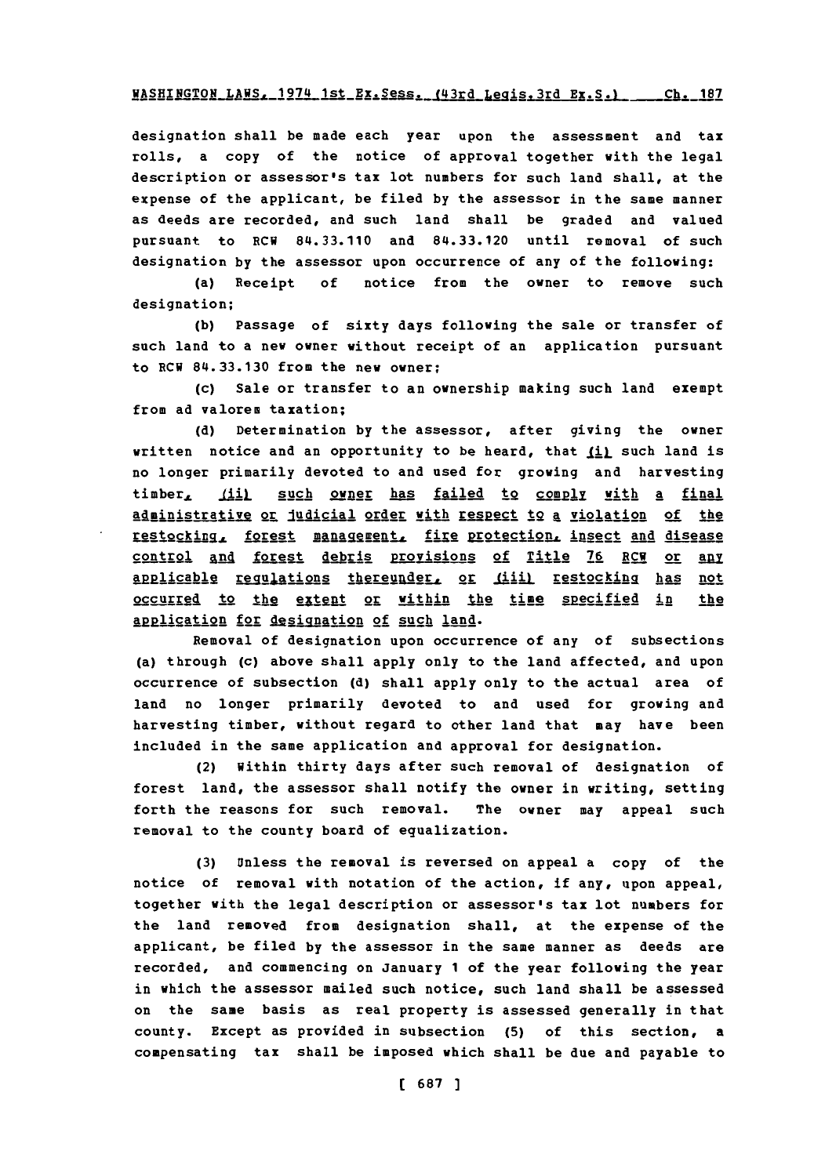designation shall be made each year upon the assessment and tax rolls, a copy of the notice of approval together with the legal description or assessor's tax lot numbers for such land shall, at the expense of the applicant, be filed **by** the assessor in the same manner as deeds are recorded, and such land shall be graded and valued pursuant to ECU 84.33.110 and **84.33.120** until removal of such designation **by** the assessor upon occurrence of any of the following:

(a) Receipt **of** notice from the owner to remove such designation;

**(b)** Passage of sixty days following the sale or transfer of such land to a new owner without receipt of an application pursuant to ECU **84.33.130** from the new owner;

(c) Sale or transfer to an ownership making such land exempt from ad valorem taxation;

**(d)** Determination **by** the assessor, after giving the owner written notice and an opportunity to be heard, that  $\underline{\textbf{ii}}$  such land is no longer primarily devoted to and used for growing and harvesting timber, (ii) such owner has failed to comply with a final administrative or judicial order with respect to a violation of the restocking, forest management, fire protection, insect and disease control Ind forest debris Provisions **of** Title **76** ECU or an applicable regulations thereunder, or fiiil restocking has not occurred to the extent or within the time specified in the application for designation of such land.

Removal of designation upon occurrence of any of subsections (a) through (c) above shall apply only to the land affected, and upon occurrence of subsection **(d)** shall apply only to the actual area of land no longer primarily devoted to and used for growing and harvesting timber, without regard to other land that may have been included in the same application and approval for designation.

(2) Within thirty days after such removal of designation of forest land, the assessor shall notify the owner in writing, setting forth the reasons for such removal. The owner may appeal such removal to the county board of equalization.

**(3)** Unless the removal is reversed on appeal a copy of the notice of removal with notation of the action, if any, upon appeal, together with the legal description or assessor's tax lot numbers for the land removed from designation shall, at the expense of the applicant, be filed **by** the assessor in the same manner as deeds are recorded, and commencing on January **1** of the year following the year in which the assessor mailed such notice, such land shall be assessed on the same basis as real property is assessed generally in that county. Except as provided in subsection **(5)** of this section, a compensating tax shall be imposed which shall be due and payable to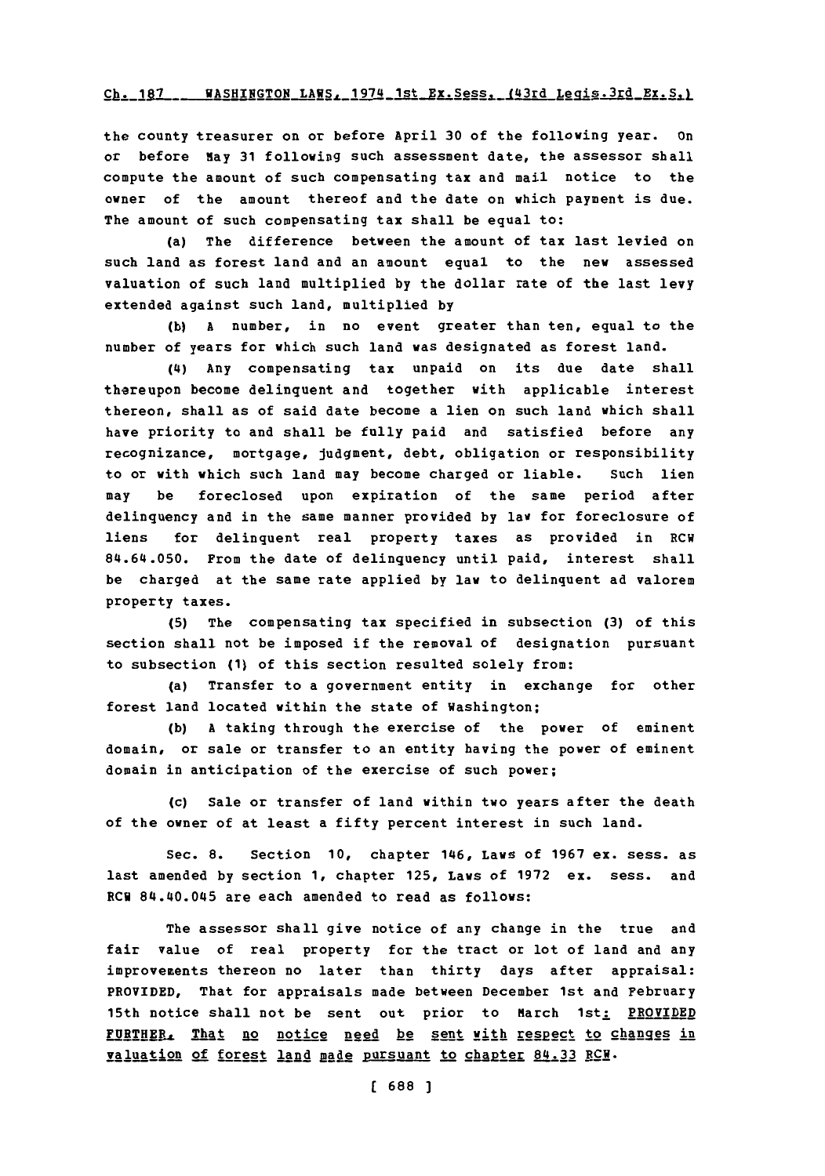## Ch. 187 WASHINGTON LAWS, 1974 1st Ex. Sess, (43rd Legis. 3rd Ex. S.)

the county treasurer on or before April **30** of the following year. on or before May **31** following such assessment date, the assessor shall compute the amount of such compensating tax and mail notice to the owner of the amount thereof and the date on which payment is due. The amount of such compensating tax shall be equal to:

(a) The difference between the amount of tax last levied on such land as forest land and an amount equal to the new assessed valuation of such land multiplied **by** the dollar rate of the last levy extended against such land, multiplied **by**

**(b) A** number, in no event greater than ten, equal to the number of years for which such land was designated as forest land.

(4) Any compensating tax unpaid on its due date shall thereupon become delinquent and together with applicable interest thereon, shall as of said date become a lien on such land which shall have priority to and shall be fully paid and satisfied before any recognizance, mortgage, judgment, debt, obligation or responsibility to or with which such land may become charged or liable. Such lien may be foreclosed upon expiration of the same period after delinquency and in the same manner provided **by** law for foreclosure of liens for delinquent real property taxes as provided in RCW 84.64.050. From the date of delinquency until paid, interest shall be charged at the same rate applied **by** law to delinquent ad valorem property taxes.

**(5)** The compensating tax specified in subsection **(3)** of this section shall not be imposed if the removal of designation pursuant to subsection **(1)** of this section resulted solely from:

(a) Transfer to a government entity in exchange for other forest land located within the state of Washington;

**(b) A** taking through the exercise of the power of eminent domain, or sale or transfer to an entity having the power of eminent domain in anticipation of the exercise of such power;

(c) Sale or transfer of land within two years after the death of the owner of at least a fifty percent interest in such land.

Sec. **8.** Section **10,** chapter 146, Laws of **1967** ex. sess. as last amended **by** section **1,** chapter **125,** Laws of **1972** ex. sess. and RCW 84.40.045 are each amended to read as follows:

The assessor shall give notice of any change in the true and fair value of real property for the tract or lot of land and any improvements thereon no later than thirty days after appraisal: PROVIDED, That for appraisals made between December 1st and February 15th notice shall not be sent out prior to March 1st: PROVIDED FURTHER, That no notice need be sent with respect to changes in valuation of forest land made pursuant to chapter 84.33 RCM.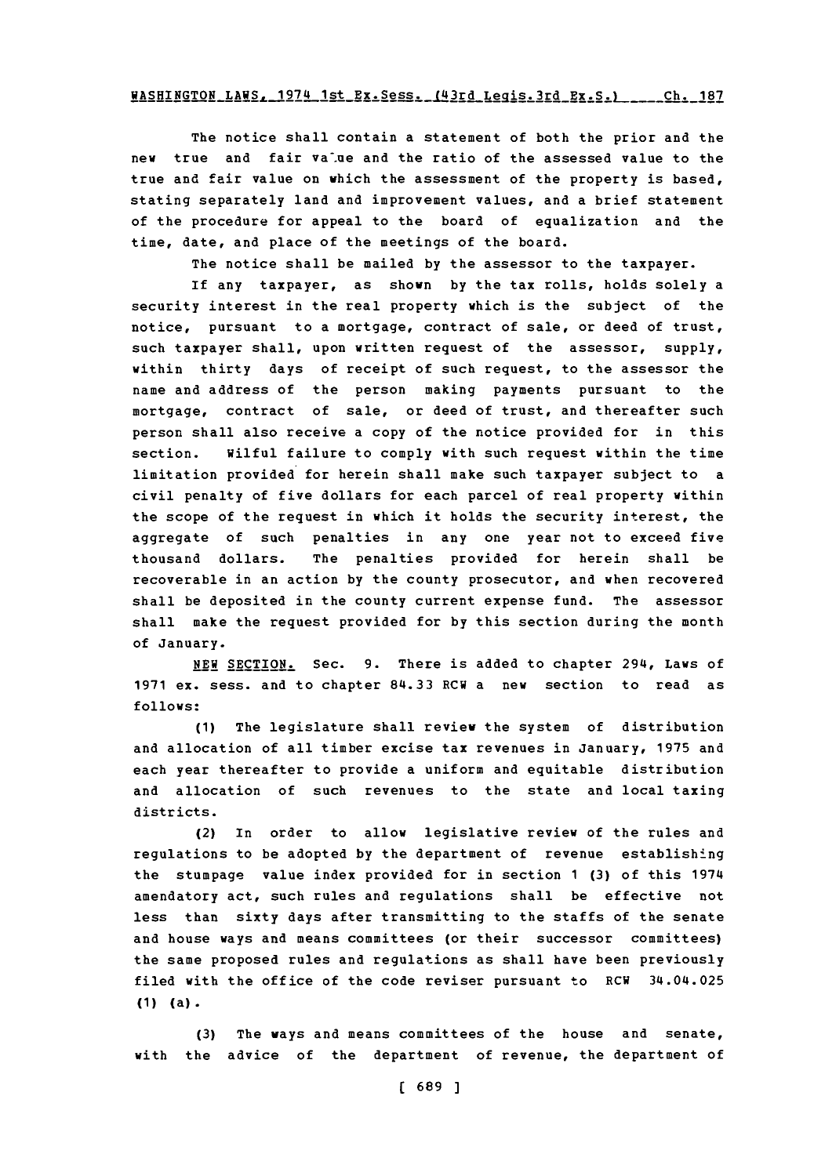# <u>1005, 1974 1st Ex.Sess. (43rd Legis.3rd Ex.S.) \_\_\_\_\_ Ch. 187</u>

The notice shall contain a statement of both the prior and the new true and fair value and the ratio of the assessed value to the true and fair value on which the assessment of the property is based, stating separately land and improvement values, and a brief statement of the procedure for appeal to the board of equalization and the time, date, and place of the meetings of the board.

The notice shall be mailed **by** the assessor to the taxpayer.

If any taxpayer, as shown **by** the tax rolls, holds solely a security interest in the real property which is the subject of the notice, pursuant to a mortgage, contract of sale, or deed of trust, such taxpayer shall, upon written request of the assessor, **supply,** within thirty days of receipt of such request, to the assessor the name and address of the person making payments pursuant to the mortgage, contract of sale, or deed of trust, and thereafter such person shall also receive a copy of the notice provided for in this section. Wilful failure to comply with such request within the time limitation provided for herein shall make such taxpayer subject to a civil penalty of five dollars for each parcel of real property within the scope of the request in which it holds the security interest, the aggregate of such penalties in any one year not to exceed five thousand dollars. The penalties provided for herein shall be recoverable in an action **by** the county prosecutor, and when recovered shall be deposited in the county current expense fund. The assessor shall make the request provided for **by** this section during the month of January.

**NEW** SECTION. Sec. **9.** There is added to chapter 294, Laws of **1971** ex. sess. and to chapter **84.33** RCW a new section to read as **follows:**

**(1)** The legislature shall review the system of distribution and allocation of all timber excise tax revenues in January, **1975** and each year thereafter to provide a uniform and equitable distribution and allocation of such revenues to the state and local taxing districts.

(2) In order to allow legislative review of the rules and regulations to be adopted **by** the department of revenue establishing the stumpage value index provided for in section **1 (3)** of this 1974 amendatory act, such rules and regulations shall be effective not less than sixty days after transmitting to the staffs of the senate and house ways and means committees (or their successor committees) the same proposed rules and regulations as shall have been previously filed with the office of the code reviser pursuant to RCW 34.04.025 **(1 )** (a) **.**

**(3)** The ways and means committees of the house and senate, with the advice of the department of revenue, the department of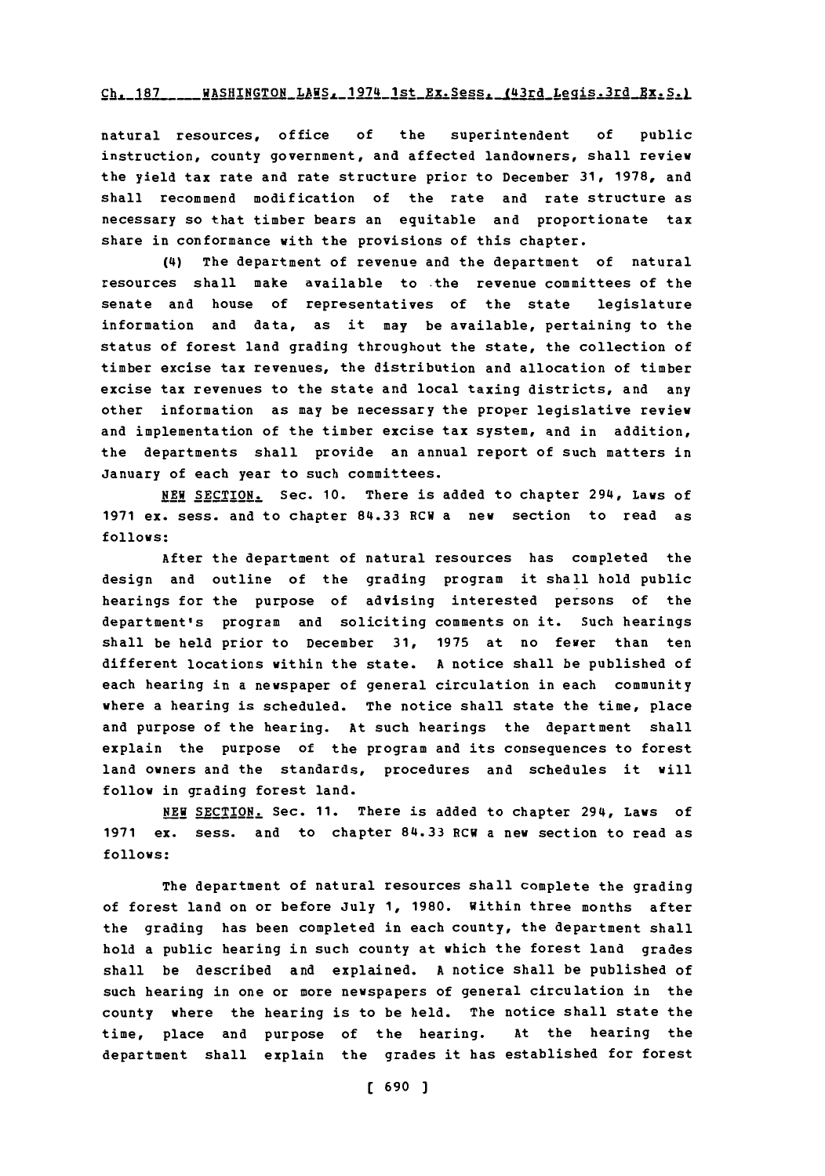#### Ch. 187 \_\_\_\_ WASHINGTON LAWS. 1974 1st Ex. Sess. (43rd Legis. 3rd Bx. S.)

natural resources, office **of** the superintendent **of** public instruction, county government, and affected landowners, shall review the yield tax rate and rate structure prior to December **31, 1978,** and shall recommend modification of the rate and rate structure as necessary so that timber bears an equitable and proportionate tax share in conformance with the provisions of this chapter.

(4) The department of revenue and the department of natural resources shall make available to the revenue committees of the senate and house of representatives of the state legislature information and data, as it may be available, pertaining to the status of forest land grading throughout the state, the collection of timber excise tax revenues, the distribution and allocation of timber excise tax revenues to the state and local taxing districts, and any other information as may be necessary the proper legislative review and implementation of the timber excise tax system, and in addition, the departments shall provide an annual report of such matters in January of each year to such committees.

**NEW** SECTION. Sec. **10.** There is added to chapter 294, Laws of **1971** ex. sess. and to chapter **84.33** ECW a new section to read as **follows:**

After the department of natural resources has completed the design and outline of the grading program it shall hold public hearings for the purpose of advising interested persons of the department's program and soliciting comments on it. Such hearings shall be held prior to December **31, 1975** at no fewer than ten different locations within the state. **A** notice shall be published of each hearing in a newspaper of general circulation in each community where a hearing is scheduled. The notice shall state the time, place and purpose of the hearing. At such hearings the department shall explain the purpose of the program and its consequences to forest land owners and the standards, procedures and schedules it will follow in grading forest land.

**NEW SETIN** Sec. **11.** There is added to chapter 294, Laws of **1971** ex. sess. and to chapter 84.33 RCW a new section to read as **follows:**

The department of natural resources shall complete the grading of forest land on or before July **1, 1980.** Within three months after the grading has been completed in each county, the department shall hold a public hearing in such county at which the forest land grades shall be described and explained. **A** notice shall be published of such hearing in one or more newspapers of general circulation in the county where the hearing is to be held. The notice shall state the time, place and purpose of the hearing. At the hearing the department shall explain the grades it has established for forest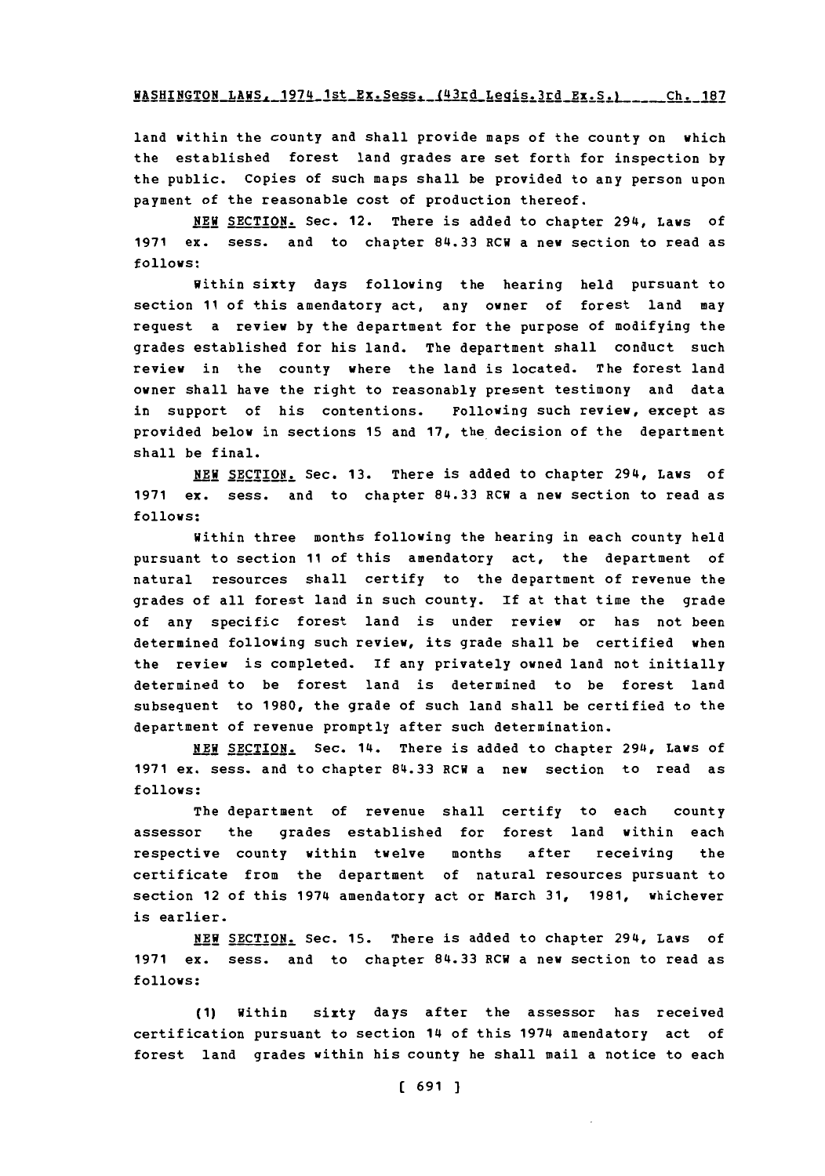WASHINGTON LAWS. 1974 1st Ex. Sess. (43rd Legis. 3rd Ex. S.) \_\_\_\_ Ch. 187

land within the county and shall provide maps of the county on which the established forest land grades are set forth for inspection **by** the public. Copies of such maps shall be provided to any person upon payment of the reasonable cost of production thereof.

**NEW** SECTION. Sec. 12. There is added to chapter 294, Laws of **1971** ex. sess. and to chapter **84.33** ECH a new section to read as **follows:**

within sixty days following the hearing held pursuant to section **11** of this amendatory act, any owner of forest land may request a review **by** the department for the purpose of modifying the grades established for his land. The department shall conduct such review in the county where the land is located. The forest land owner shall have the right to reasonably present testimony and data in support of his contentions. Following such review, except as provided below in sections **15** and **17,** the decision of the department shall be final.

**NEW SECTION.** Sec. **13.** There is added to chapter 294, Laws of **1971** ex. sess. and to chapter **84.33** RCW a new section to read as **follows:**

Within three months following the hearing in each county held pursuant to section **11** of this amendatory act, the department of natural resources shall certify to the department of revenue the grades of all forest land in such county. **If** at that time the grade of any specific forest land is under review or has not been determined following such review, its grade shall be certified when the review is completed. If any privately owned land not initially determined to be forest land is determined to be forest land subsequent to **1980,** the grade of such land shall be certified to the department of revenue promptly after such determination.

**NEW** SECTION. Sec. 14. There is added to chapter 294, Laws of **1971** ex. sess. and to chapter **84.33** ECW a new section to read as **follows:**

The department of revenue shall certify to each county assessor the grades established for forest land within each respective county within twelve months after receiving the certificate from the department of natural resources pursuant to section 12 of this 1974 amendatory act or March **31, 1981,** whichever is earlier.

**NEW** SECTION. Sec. **15.** There is added to chapter 294, Laws of **1971** ex. sess. and to chapter **84.33** RCW a new section to read as **follows:**

**(1)** Within sixty days after the assessor has received certification pursuant to section 14 of this 1974 amendatory act of forest land grades within his county he shall mail a notice to each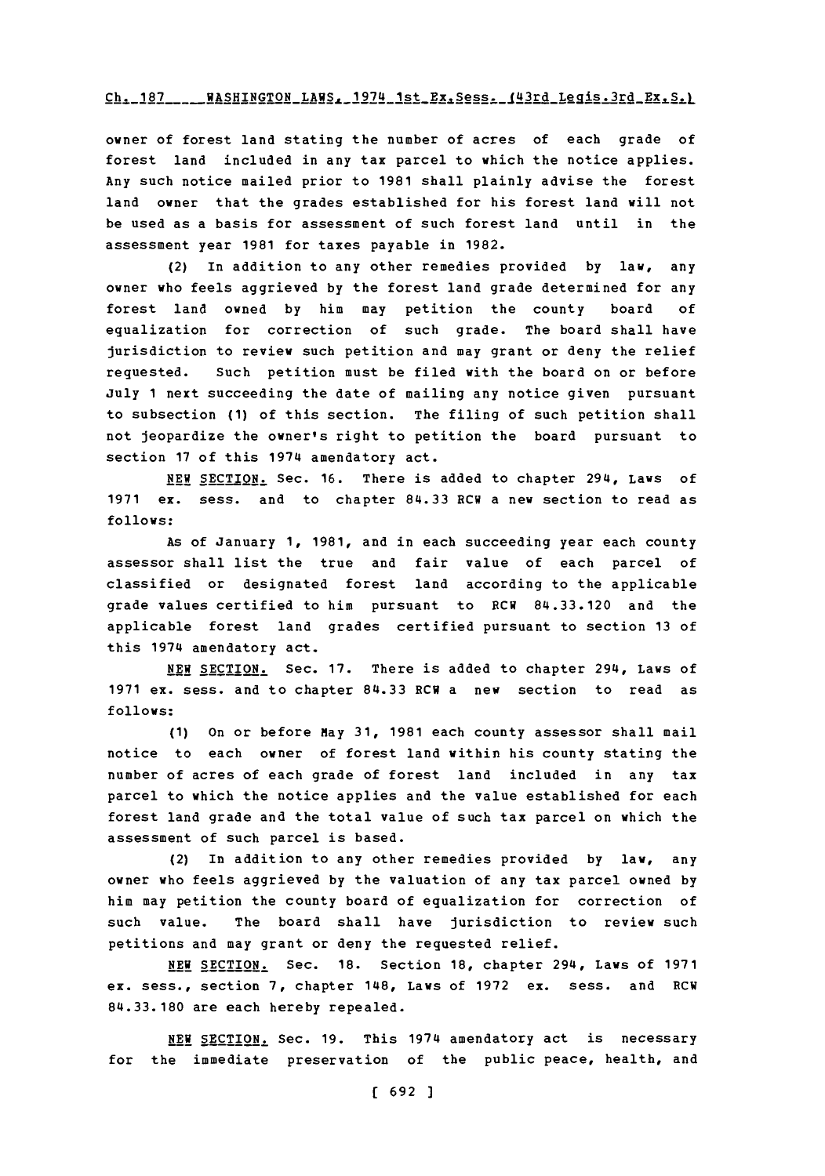### Ch. 187 WASHINGTON LAWS, 1974 1st\_Ex, Sess. **(43rd Legis.3rd Ex, S.)**

owner of forest land stating the number of acres of each grade of forest land included in any tax parcel to which the notice applies. Any such notice mailed prior to **1981** shall plainly advise the forest land owner that the grades established for his forest land will not be used as a basis for assessment of such forest land until in the assessment year **1981** for taxes payable in **1982.**

(2) In addition to any other remedies provided **by** law, any owner who feels aggrieved **by** the forest land grade determined for any forest land owned **by** him may petition the county board **of** equalization for correction of such grade. The board shall have jurisdiction to review such petition and may grant or deny the relief requested. Such petition must be filed with the board on or before July **1** next succeeding the date of mailing any notice given pursuant to subsection **(1)** of this section. The filing of such petition shall not jeopardize the owner's right to petition the board pursuant to section **17** of this 1974 amendatory act.

**NEW** SECTION. Sec. **16.** There is added to chapter 294, Laws of **1971** ex. sess. and to chapter **84.33** ECU a new section to read as **follows:**

As of January **1, 1981,** and in each succeeding year each county assessor shall list the true and fair value of each parcel of classified or designated forest land according to the applicable grade values certified to him pursuant to RCWI **84.33.120** and the applicable forest land grades certified pursuant to section **13** of this 1974 amendatory act.

**NEW** SECTION. Sec. **17.** There is added to chapter 294, Laws of **1971** ex. sess. and to chapter **84.33** RCR a new section to read as **follows:**

**(1)** on or before May **31, 1981** each county assessor shall mail notice to each owner of forest land within his county stating the number of acres of each grade of forest land included in any tax parcel to which the notice applies and the value established for each forest land grade and the total value of such tax parcel on which the assessment of such parcel is based.

(2) In addition to any other remedies provided **by** law, any owner who feels aggrieved **by** the valuation of any tax parcel owned **by** him may petition the county board of equalization for correction of such value. The board shall have jurisdiction to review such petitions and may grant or deny the requested relief.

**NEW** SECTION. Sec. **18.** Section **18,** chapter 294, Laws of **1971** ex. sess., section **7,** chapter 148, Laws of **1972** ex. sess. and RCW **84.33.180** are each hereby repealed.

**NEW** SECTION. Sec. **19.** This 1974 amendatory act is necessary for the immediate preservation of the public peace, health, and